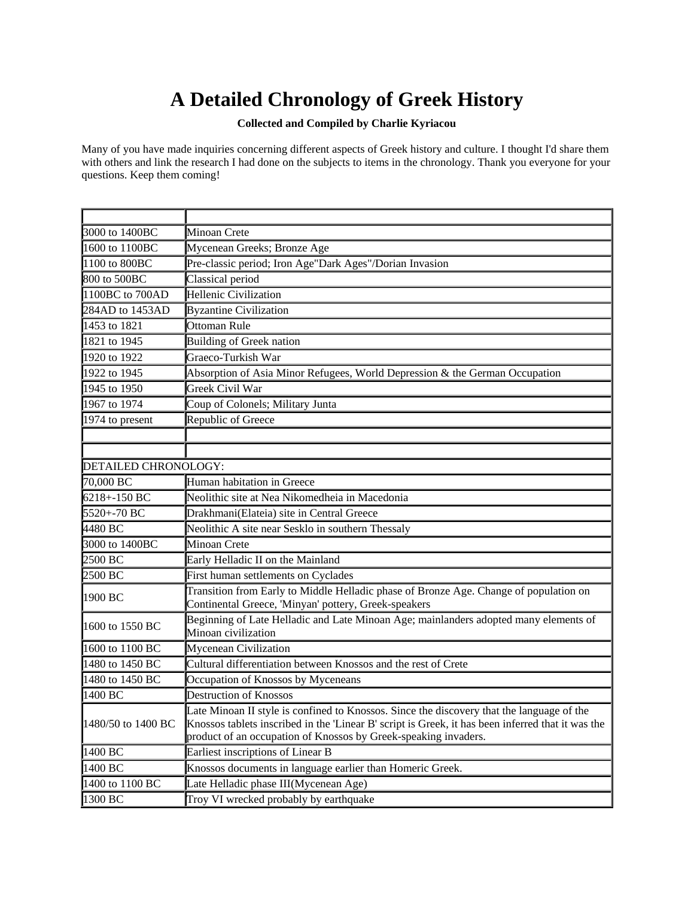## **A Detailed Chronology of Greek History**

## **Collected and Compiled by Charlie Kyriacou**

Many of you have made inquiries concerning different aspects of Greek history and culture. I thought I'd share them with others and link the research I had done on the subjects to items in the chronology. Thank you everyone for your questions. Keep them coming!

| 3000 to 1400BC       | <b>Minoan Crete</b>                                                                                                                                                                                                                                               |
|----------------------|-------------------------------------------------------------------------------------------------------------------------------------------------------------------------------------------------------------------------------------------------------------------|
| 1600 to 1100BC       | Mycenean Greeks; Bronze Age                                                                                                                                                                                                                                       |
| 1100 to 800BC        | Pre-classic period; Iron Age"Dark Ages"/Dorian Invasion                                                                                                                                                                                                           |
| 800 to 500BC         | Classical period                                                                                                                                                                                                                                                  |
| 1100BC to 700AD      | Hellenic Civilization                                                                                                                                                                                                                                             |
| 284AD to 1453AD      | <b>Byzantine Civilization</b>                                                                                                                                                                                                                                     |
| 1453 to 1821         | Ottoman Rule                                                                                                                                                                                                                                                      |
| 1821 to 1945         | <b>Building of Greek nation</b>                                                                                                                                                                                                                                   |
| 1920 to 1922         | Graeco-Turkish War                                                                                                                                                                                                                                                |
| 1922 to 1945         | Absorption of Asia Minor Refugees, World Depression & the German Occupation                                                                                                                                                                                       |
| 1945 to 1950         | Greek Civil War                                                                                                                                                                                                                                                   |
| 1967 to 1974         | Coup of Colonels; Military Junta                                                                                                                                                                                                                                  |
| 1974 to present      | Republic of Greece                                                                                                                                                                                                                                                |
|                      |                                                                                                                                                                                                                                                                   |
|                      |                                                                                                                                                                                                                                                                   |
| DETAILED CHRONOLOGY: |                                                                                                                                                                                                                                                                   |
| 70,000 BC            | Human habitation in Greece                                                                                                                                                                                                                                        |
| $6218 + -150$ BC     | Neolithic site at Nea Nikomedheia in Macedonia                                                                                                                                                                                                                    |
| 5520+-70 BC          | Drakhmani(Elateia) site in Central Greece                                                                                                                                                                                                                         |
| 4480 BC              | Neolithic A site near Sesklo in southern Thessaly                                                                                                                                                                                                                 |
| 3000 to 1400BC       | <b>Minoan Crete</b>                                                                                                                                                                                                                                               |
| 2500 BC              | Early Helladic II on the Mainland                                                                                                                                                                                                                                 |
| 2500 BC              | First human settlements on Cyclades                                                                                                                                                                                                                               |
| 1900 BC              | Transition from Early to Middle Helladic phase of Bronze Age. Change of population on<br>Continental Greece, 'Minyan' pottery, Greek-speakers                                                                                                                     |
| 1600 to 1550 BC      | Beginning of Late Helladic and Late Minoan Age; mainlanders adopted many elements of<br>Minoan civilization                                                                                                                                                       |
| 1600 to 1100 BC      | Mycenean Civilization                                                                                                                                                                                                                                             |
| 1480 to 1450 BC      | Cultural differentiation between Knossos and the rest of Crete                                                                                                                                                                                                    |
| 1480 to 1450 BC      | Occupation of Knossos by Myceneans                                                                                                                                                                                                                                |
| 1400 BC              | <b>Destruction of Knossos</b>                                                                                                                                                                                                                                     |
| 1480/50 to 1400 BC   | Late Minoan II style is confined to Knossos. Since the discovery that the language of the<br>Knossos tablets inscribed in the 'Linear B' script is Greek, it has been inferred that it was the<br>product of an occupation of Knossos by Greek-speaking invaders. |
| 1400 BC              | Earliest inscriptions of Linear B                                                                                                                                                                                                                                 |
| 1400 BC              | Knossos documents in language earlier than Homeric Greek.                                                                                                                                                                                                         |
| 1400 to 1100 BC      | Late Helladic phase III(Mycenean Age)                                                                                                                                                                                                                             |
| 1300 BC              | Troy VI wrecked probably by earthquake                                                                                                                                                                                                                            |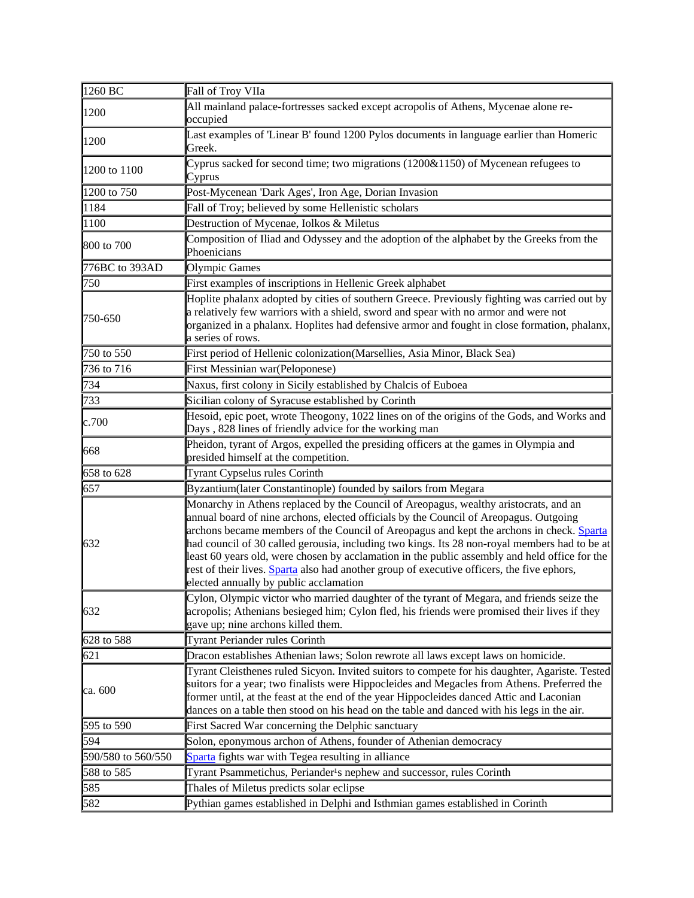| 1260 BC            | Fall of Troy VIIa                                                                                                                                                                                                                                                                                                                                                                                                                                                                                                                                                                                                   |
|--------------------|---------------------------------------------------------------------------------------------------------------------------------------------------------------------------------------------------------------------------------------------------------------------------------------------------------------------------------------------------------------------------------------------------------------------------------------------------------------------------------------------------------------------------------------------------------------------------------------------------------------------|
| 1200               | All mainland palace-fortresses sacked except acropolis of Athens, Mycenae alone re-<br>occupied                                                                                                                                                                                                                                                                                                                                                                                                                                                                                                                     |
| 1200               | Last examples of 'Linear B' found 1200 Pylos documents in language earlier than Homeric<br>Greek.                                                                                                                                                                                                                                                                                                                                                                                                                                                                                                                   |
| 1200 to 1100       | Cyprus sacked for second time; two migrations (1200&1150) of Mycenean refugees to<br>Cyprus                                                                                                                                                                                                                                                                                                                                                                                                                                                                                                                         |
| 1200 to 750        | Post-Mycenean 'Dark Ages', Iron Age, Dorian Invasion                                                                                                                                                                                                                                                                                                                                                                                                                                                                                                                                                                |
| 1184               | Fall of Troy; believed by some Hellenistic scholars                                                                                                                                                                                                                                                                                                                                                                                                                                                                                                                                                                 |
| 1100               | Destruction of Mycenae, Iolkos & Miletus                                                                                                                                                                                                                                                                                                                                                                                                                                                                                                                                                                            |
| 800 to 700         | Composition of Iliad and Odyssey and the adoption of the alphabet by the Greeks from the<br>Phoenicians                                                                                                                                                                                                                                                                                                                                                                                                                                                                                                             |
| 776BC to 393AD     | <b>Olympic Games</b>                                                                                                                                                                                                                                                                                                                                                                                                                                                                                                                                                                                                |
| 750                | First examples of inscriptions in Hellenic Greek alphabet                                                                                                                                                                                                                                                                                                                                                                                                                                                                                                                                                           |
| 750-650            | Hoplite phalanx adopted by cities of southern Greece. Previously fighting was carried out by<br>a relatively few warriors with a shield, sword and spear with no armor and were not<br>organized in a phalanx. Hoplites had defensive armor and fought in close formation, phalanx,<br>a series of rows.                                                                                                                                                                                                                                                                                                            |
| 750 to $550$       | First period of Hellenic colonization(Marsellies, Asia Minor, Black Sea)                                                                                                                                                                                                                                                                                                                                                                                                                                                                                                                                            |
| 736 to 716         | <b>First Messinian war(Peloponese)</b>                                                                                                                                                                                                                                                                                                                                                                                                                                                                                                                                                                              |
| 734                | Naxus, first colony in Sicily established by Chalcis of Euboea                                                                                                                                                                                                                                                                                                                                                                                                                                                                                                                                                      |
| 733                | Sicilian colony of Syracuse established by Corinth                                                                                                                                                                                                                                                                                                                                                                                                                                                                                                                                                                  |
| c.700              | Hesoid, epic poet, wrote Theogony, 1022 lines on of the origins of the Gods, and Works and<br>Days, 828 lines of friendly advice for the working man                                                                                                                                                                                                                                                                                                                                                                                                                                                                |
| 668                | Pheidon, tyrant of Argos, expelled the presiding officers at the games in Olympia and<br>presided himself at the competition.                                                                                                                                                                                                                                                                                                                                                                                                                                                                                       |
| 658 to 628         | Tyrant Cypselus rules Corinth                                                                                                                                                                                                                                                                                                                                                                                                                                                                                                                                                                                       |
| 657                | Byzantium(later Constantinople) founded by sailors from Megara                                                                                                                                                                                                                                                                                                                                                                                                                                                                                                                                                      |
| 632                | Monarchy in Athens replaced by the Council of Areopagus, wealthy aristocrats, and an<br>annual board of nine archons, elected officials by the Council of Areopagus. Outgoing<br>archons became members of the Council of Areopagus and kept the archons in check. Sparta<br>had council of 30 called gerousia, including two kings. Its 28 non-royal members had to be at<br>least 60 years old, were chosen by acclamation in the public assembly and held office for the<br>rest of their lives. Sparta also had another group of executive officers, the five ephors,<br>elected annually by public acclamation |
| 632                | Cylon, Olympic victor who married daughter of the tyrant of Megara, and friends seize the<br>acropolis; Athenians besieged him; Cylon fled, his friends were promised their lives if they<br>gave up; nine archons killed them.                                                                                                                                                                                                                                                                                                                                                                                     |
| 628 to 588         | <b>Tyrant Periander rules Corinth</b>                                                                                                                                                                                                                                                                                                                                                                                                                                                                                                                                                                               |
| 621                | Dracon establishes Athenian laws; Solon rewrote all laws except laws on homicide.                                                                                                                                                                                                                                                                                                                                                                                                                                                                                                                                   |
| ca. 600            | Tyrant Cleisthenes ruled Sicyon. Invited suitors to compete for his daughter, Agariste. Tested<br>suitors for a year; two finalists were Hippocleides and Megacles from Athens. Preferred the<br>former until, at the feast at the end of the year Hippocleides danced Attic and Laconian<br>dances on a table then stood on his head on the table and danced with his legs in the air.                                                                                                                                                                                                                             |
| 595 to 590         | First Sacred War concerning the Delphic sanctuary                                                                                                                                                                                                                                                                                                                                                                                                                                                                                                                                                                   |
| 594                | Solon, eponymous archon of Athens, founder of Athenian democracy                                                                                                                                                                                                                                                                                                                                                                                                                                                                                                                                                    |
| 590/580 to 560/550 | Sparta fights war with Tegea resulting in alliance                                                                                                                                                                                                                                                                                                                                                                                                                                                                                                                                                                  |
| 588 to 585         | Tyrant Psammetichus, Periander <sup>1</sup> s nephew and successor, rules Corinth                                                                                                                                                                                                                                                                                                                                                                                                                                                                                                                                   |
| 585                | Thales of Miletus predicts solar eclipse                                                                                                                                                                                                                                                                                                                                                                                                                                                                                                                                                                            |
| 582                | Pythian games established in Delphi and Isthmian games established in Corinth                                                                                                                                                                                                                                                                                                                                                                                                                                                                                                                                       |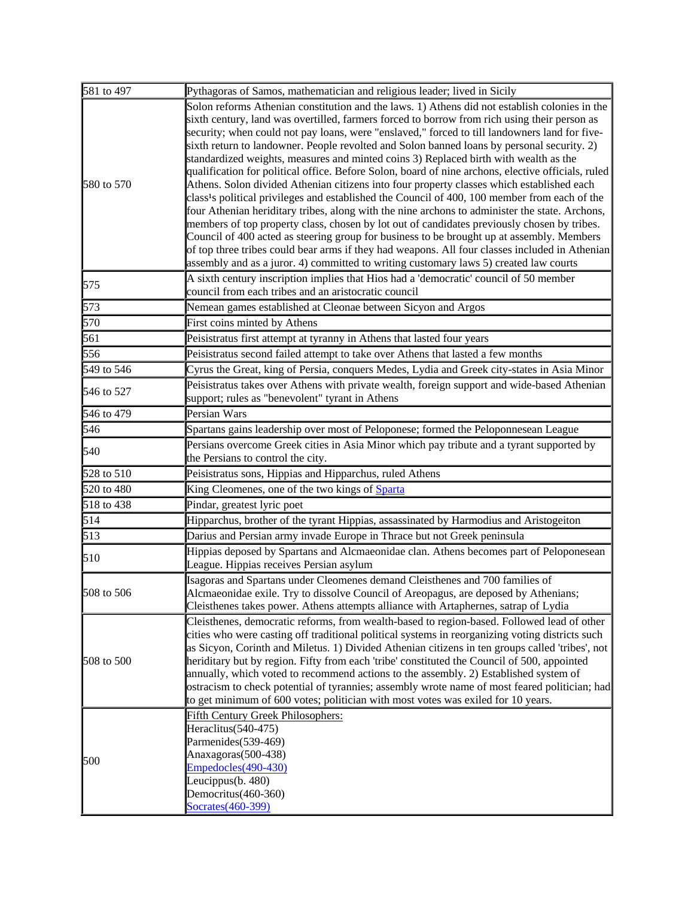| 581 to 497             | Pythagoras of Samos, mathematician and religious leader; lived in Sicily                                                                                                                                                                                                                                                                                                                                                                                                                                                                                                                                                                                                                                                                                                                                                                                                                                                                                                                                                                                                                                                                                                                             |
|------------------------|------------------------------------------------------------------------------------------------------------------------------------------------------------------------------------------------------------------------------------------------------------------------------------------------------------------------------------------------------------------------------------------------------------------------------------------------------------------------------------------------------------------------------------------------------------------------------------------------------------------------------------------------------------------------------------------------------------------------------------------------------------------------------------------------------------------------------------------------------------------------------------------------------------------------------------------------------------------------------------------------------------------------------------------------------------------------------------------------------------------------------------------------------------------------------------------------------|
| 580 to 570             | Solon reforms Athenian constitution and the laws. 1) Athens did not establish colonies in the<br>sixth century, land was overtilled, farmers forced to borrow from rich using their person as<br>security; when could not pay loans, were "enslaved," forced to till landowners land for five-<br>sixth return to landowner. People revolted and Solon banned loans by personal security. 2)<br>standardized weights, measures and minted coins 3) Replaced birth with wealth as the<br>qualification for political office. Before Solon, board of nine archons, elective officials, ruled<br>Athens. Solon divided Athenian citizens into four property classes which established each<br>class <sup>1</sup> s political privileges and established the Council of 400, 100 member from each of the<br>four Athenian heriditary tribes, along with the nine archons to administer the state. Archons,<br>members of top property class, chosen by lot out of candidates previously chosen by tribes.<br>Council of 400 acted as steering group for business to be brought up at assembly. Members<br>of top three tribes could bear arms if they had weapons. All four classes included in Athenian |
| 575                    | assembly and as a juror. 4) committed to writing customary laws 5) created law courts<br>A sixth century inscription implies that Hios had a 'democratic' council of 50 member<br>council from each tribes and an aristocratic council                                                                                                                                                                                                                                                                                                                                                                                                                                                                                                                                                                                                                                                                                                                                                                                                                                                                                                                                                               |
| 573                    | Nemean games established at Cleonae between Sicyon and Argos                                                                                                                                                                                                                                                                                                                                                                                                                                                                                                                                                                                                                                                                                                                                                                                                                                                                                                                                                                                                                                                                                                                                         |
| 570                    | First coins minted by Athens                                                                                                                                                                                                                                                                                                                                                                                                                                                                                                                                                                                                                                                                                                                                                                                                                                                                                                                                                                                                                                                                                                                                                                         |
| 561                    | Peisistratus first attempt at tyranny in Athens that lasted four years                                                                                                                                                                                                                                                                                                                                                                                                                                                                                                                                                                                                                                                                                                                                                                                                                                                                                                                                                                                                                                                                                                                               |
| 556                    | Peisistratus second failed attempt to take over Athens that lasted a few months                                                                                                                                                                                                                                                                                                                                                                                                                                                                                                                                                                                                                                                                                                                                                                                                                                                                                                                                                                                                                                                                                                                      |
| 549 to 546             | Cyrus the Great, king of Persia, conquers Medes, Lydia and Greek city-states in Asia Minor                                                                                                                                                                                                                                                                                                                                                                                                                                                                                                                                                                                                                                                                                                                                                                                                                                                                                                                                                                                                                                                                                                           |
| 546 to 527             | Peisistratus takes over Athens with private wealth, foreign support and wide-based Athenian<br>support; rules as "benevolent" tyrant in Athens                                                                                                                                                                                                                                                                                                                                                                                                                                                                                                                                                                                                                                                                                                                                                                                                                                                                                                                                                                                                                                                       |
| 546 to 479             | Persian Wars                                                                                                                                                                                                                                                                                                                                                                                                                                                                                                                                                                                                                                                                                                                                                                                                                                                                                                                                                                                                                                                                                                                                                                                         |
| 546                    | Spartans gains leadership over most of Peloponese; formed the Peloponnesean League                                                                                                                                                                                                                                                                                                                                                                                                                                                                                                                                                                                                                                                                                                                                                                                                                                                                                                                                                                                                                                                                                                                   |
| 540                    | Persians overcome Greek cities in Asia Minor which pay tribute and a tyrant supported by<br>the Persians to control the city.                                                                                                                                                                                                                                                                                                                                                                                                                                                                                                                                                                                                                                                                                                                                                                                                                                                                                                                                                                                                                                                                        |
| 528 to 510             | Peisistratus sons, Hippias and Hipparchus, ruled Athens                                                                                                                                                                                                                                                                                                                                                                                                                                                                                                                                                                                                                                                                                                                                                                                                                                                                                                                                                                                                                                                                                                                                              |
| 520 to 480             | King Cleomenes, one of the two kings of Sparta                                                                                                                                                                                                                                                                                                                                                                                                                                                                                                                                                                                                                                                                                                                                                                                                                                                                                                                                                                                                                                                                                                                                                       |
| 518 to 438             | Pindar, greatest lyric poet                                                                                                                                                                                                                                                                                                                                                                                                                                                                                                                                                                                                                                                                                                                                                                                                                                                                                                                                                                                                                                                                                                                                                                          |
| 514                    | Hipparchus, brother of the tyrant Hippias, assassinated by Harmodius and Aristogeiton                                                                                                                                                                                                                                                                                                                                                                                                                                                                                                                                                                                                                                                                                                                                                                                                                                                                                                                                                                                                                                                                                                                |
| 513                    | Darius and Persian army invade Europe in Thrace but not Greek peninsula                                                                                                                                                                                                                                                                                                                                                                                                                                                                                                                                                                                                                                                                                                                                                                                                                                                                                                                                                                                                                                                                                                                              |
| 510                    | Hippias deposed by Spartans and Alcmaeonidae clan. Athens becomes part of Peloponesean<br>League. Hippias receives Persian asylum                                                                                                                                                                                                                                                                                                                                                                                                                                                                                                                                                                                                                                                                                                                                                                                                                                                                                                                                                                                                                                                                    |
| $ 508 \text{ to } 506$ | Isagoras and Spartans under Cleomenes demand Cleisthenes and 700 families of<br>Alcmaeonidae exile. Try to dissolve Council of Areopagus, are deposed by Athenians;<br>Cleisthenes takes power. Athens attempts alliance with Artaphernes, satrap of Lydia                                                                                                                                                                                                                                                                                                                                                                                                                                                                                                                                                                                                                                                                                                                                                                                                                                                                                                                                           |
| 508 to 500             | Cleisthenes, democratic reforms, from wealth-based to region-based. Followed lead of other<br>cities who were casting off traditional political systems in reorganizing voting districts such<br>as Sicyon, Corinth and Miletus. 1) Divided Athenian citizens in ten groups called 'tribes', not<br>heriditary but by region. Fifty from each 'tribe' constituted the Council of 500, appointed<br>annually, which voted to recommend actions to the assembly. 2) Established system of<br>ostracism to check potential of tyrannies; assembly wrote name of most feared politician; had<br>to get minimum of 600 votes; politician with most votes was exiled for 10 years.                                                                                                                                                                                                                                                                                                                                                                                                                                                                                                                         |
| 500                    | <b>Fifth Century Greek Philosophers:</b><br>Heraclitus(540-475)<br>Parmenides(539-469)<br>Anaxagoras(500-438)<br>Empedocles(490-430)<br>Leucippus(b. 480)<br>Democritus(460-360)<br>Socrates(460-399)                                                                                                                                                                                                                                                                                                                                                                                                                                                                                                                                                                                                                                                                                                                                                                                                                                                                                                                                                                                                |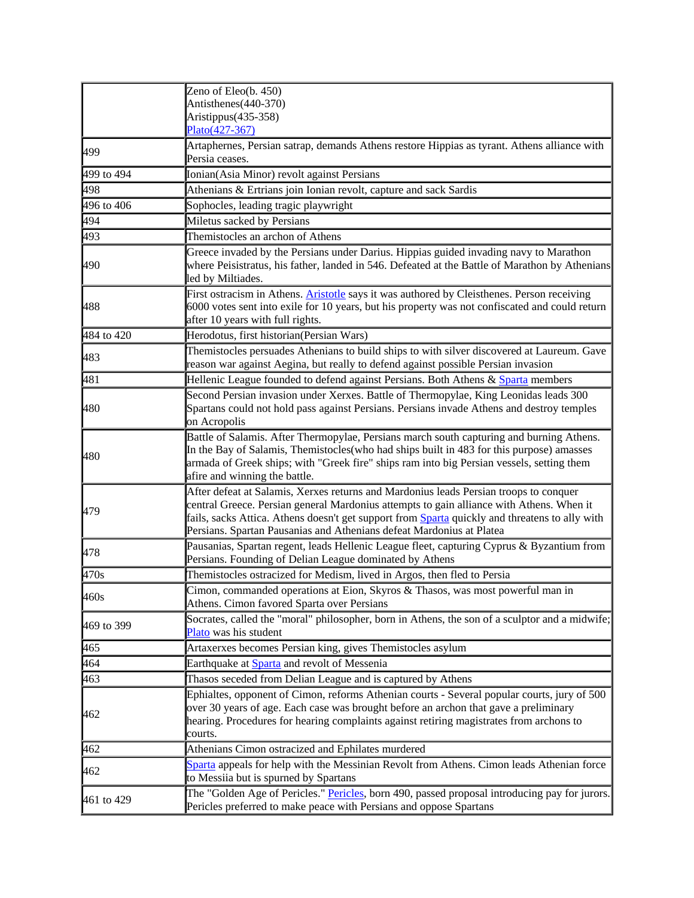|                         | Zeno of Eleo(b. 450)<br>Antisthenes(440-370)<br>Aristippus(435-358)<br>Plato(427-367)                                                                                                                                                                                                                                                                       |
|-------------------------|-------------------------------------------------------------------------------------------------------------------------------------------------------------------------------------------------------------------------------------------------------------------------------------------------------------------------------------------------------------|
| 499                     | Artaphernes, Persian satrap, demands Athens restore Hippias as tyrant. Athens alliance with<br>Persia ceases.                                                                                                                                                                                                                                               |
| 499 to $\overline{494}$ | Ionian(Asia Minor) revolt against Persians                                                                                                                                                                                                                                                                                                                  |
| 498                     | Athenians & Ertrians join Ionian revolt, capture and sack Sardis                                                                                                                                                                                                                                                                                            |
| 496 to 406              | Sophocles, leading tragic playwright                                                                                                                                                                                                                                                                                                                        |
| 494                     | Miletus sacked by Persians                                                                                                                                                                                                                                                                                                                                  |
| 493                     | Themistocles an archon of Athens                                                                                                                                                                                                                                                                                                                            |
| 490                     | Greece invaded by the Persians under Darius. Hippias guided invading navy to Marathon<br>where Peisistratus, his father, landed in 546. Defeated at the Battle of Marathon by Athenians<br>led by Miltiades.                                                                                                                                                |
| 488                     | First ostracism in Athens. <b>Aristotle</b> says it was authored by Cleisthenes. Person receiving<br>6000 votes sent into exile for 10 years, but his property was not confiscated and could return<br>after 10 years with full rights.                                                                                                                     |
| 484 to 420              | Herodotus, first historian(Persian Wars)                                                                                                                                                                                                                                                                                                                    |
| 483                     | Themistocles persuades Athenians to build ships to with silver discovered at Laureum. Gave<br>reason war against Aegina, but really to defend against possible Persian invasion                                                                                                                                                                             |
| 481                     | Hellenic League founded to defend against Persians. Both Athens & Sparta members                                                                                                                                                                                                                                                                            |
| 480                     | Second Persian invasion under Xerxes. Battle of Thermopylae, King Leonidas leads 300<br>Spartans could not hold pass against Persians. Persians invade Athens and destroy temples<br>on Acropolis                                                                                                                                                           |
| 480                     | Battle of Salamis. After Thermopylae, Persians march south capturing and burning Athens.<br>In the Bay of Salamis, Themistocles(who had ships built in 483 for this purpose) amasses<br>armada of Greek ships; with "Greek fire" ships ram into big Persian vessels, setting them<br>afire and winning the battle.                                          |
| 479                     | After defeat at Salamis, Xerxes returns and Mardonius leads Persian troops to conquer<br>central Greece. Persian general Mardonius attempts to gain alliance with Athens. When it<br>fails, sacks Attica. Athens doesn't get support from Sparta quickly and threatens to ally with<br>Persians. Spartan Pausanias and Athenians defeat Mardonius at Platea |
| 478                     | Pausanias, Spartan regent, leads Hellenic League fleet, capturing Cyprus & Byzantium from<br>Persians. Founding of Delian League dominated by Athens                                                                                                                                                                                                        |
| 470s                    | Themistocles ostracized for Medism, lived in Argos, then fled to Persia                                                                                                                                                                                                                                                                                     |
| 460s                    | Cimon, commanded operations at Eion, Skyros & Thasos, was most powerful man in<br>Athens. Cimon favored Sparta over Persians                                                                                                                                                                                                                                |
| 469 to 399              | Socrates, called the "moral" philosopher, born in Athens, the son of a sculptor and a midwife;<br>Plato was his student                                                                                                                                                                                                                                     |
| 465                     | Artaxerxes becomes Persian king, gives Themistocles asylum                                                                                                                                                                                                                                                                                                  |
| 464                     | Earthquake at Sparta and revolt of Messenia                                                                                                                                                                                                                                                                                                                 |
| 463                     | Thasos seceded from Delian League and is captured by Athens                                                                                                                                                                                                                                                                                                 |
| 462                     | Ephialtes, opponent of Cimon, reforms Athenian courts - Several popular courts, jury of 500<br>over 30 years of age. Each case was brought before an archon that gave a preliminary<br>hearing. Procedures for hearing complaints against retiring magistrates from archons to<br>courts.                                                                   |
| 462                     | Athenians Cimon ostracized and Ephilates murdered                                                                                                                                                                                                                                                                                                           |
| 462                     | Sparta appeals for help with the Messinian Revolt from Athens. Cimon leads Athenian force<br>to Messiia but is spurned by Spartans                                                                                                                                                                                                                          |
| 461 to 429              | The "Golden Age of Pericles." Pericles, born 490, passed proposal introducing pay for jurors.<br>Pericles preferred to make peace with Persians and oppose Spartans                                                                                                                                                                                         |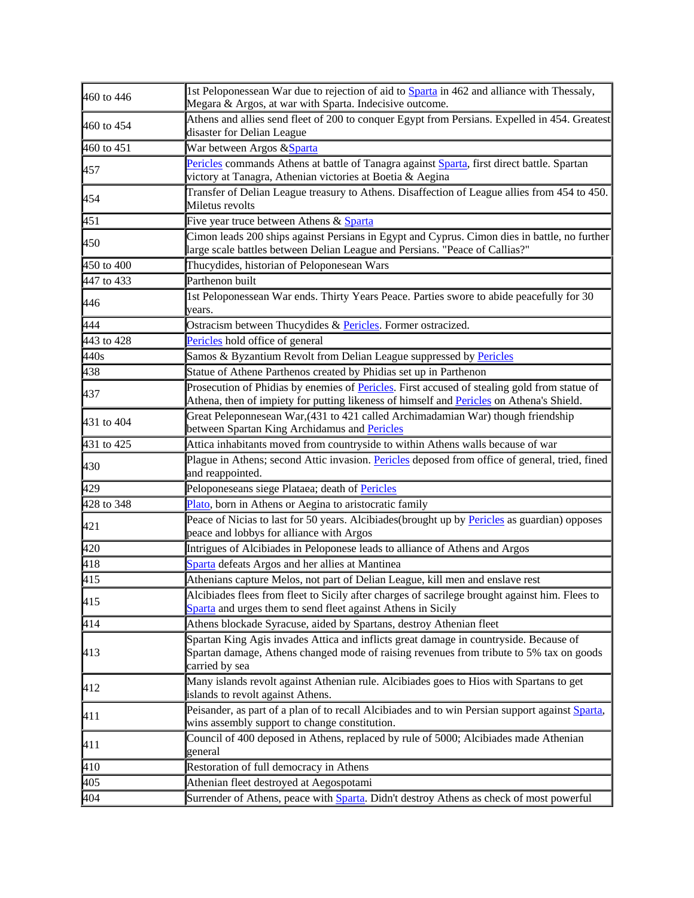| 460 to 446   | 1st Peloponessean War due to rejection of aid to <b>Sparta</b> in 462 and alliance with Thessaly,<br>Megara & Argos, at war with Sparta. Indecisive outcome.                                       |
|--------------|----------------------------------------------------------------------------------------------------------------------------------------------------------------------------------------------------|
| 460 to 454   | Athens and allies send fleet of 200 to conquer Egypt from Persians. Expelled in 454. Greatest<br>disaster for Delian League                                                                        |
| 460 to 451   | War between Argos & Sparta                                                                                                                                                                         |
| 457          | Pericles commands Athens at battle of Tanagra against Sparta, first direct battle. Spartan<br>victory at Tanagra, Athenian victories at Boetia & Aegina                                            |
| 454          | Transfer of Delian League treasury to Athens. Disaffection of League allies from 454 to 450.<br>Miletus revolts                                                                                    |
| 451          | Five year truce between Athens & Sparta                                                                                                                                                            |
| 450          | Cimon leads 200 ships against Persians in Egypt and Cyprus. Cimon dies in battle, no further<br>large scale battles between Delian League and Persians. "Peace of Callias?"                        |
| 450 to $400$ | Thucydides, historian of Peloponesean Wars                                                                                                                                                         |
| 447 to 433   | Parthenon built                                                                                                                                                                                    |
| 446          | 1st Peloponessean War ends. Thirty Years Peace. Parties swore to abide peacefully for 30<br>years.                                                                                                 |
| 444          | Ostracism between Thucydides & Pericles. Former ostracized.                                                                                                                                        |
| 443 to 428   | Pericles hold office of general                                                                                                                                                                    |
| 440s         | Samos & Byzantium Revolt from Delian League suppressed by Pericles                                                                                                                                 |
| 438          | Statue of Athene Parthenos created by Phidias set up in Parthenon                                                                                                                                  |
| 437          | Prosecution of Phidias by enemies of Pericles. First accused of stealing gold from statue of<br>Athena, then of impiety for putting likeness of himself and Pericles on Athena's Shield.           |
| 431 to 404   | Great Peleponnesean War, (431 to 421 called Archimadamian War) though friendship<br>between Spartan King Archidamus and Pericles                                                                   |
| 431 to 425   | Attica inhabitants moved from countryside to within Athens walls because of war                                                                                                                    |
| 430          | Plague in Athens; second Attic invasion. Pericles deposed from office of general, tried, fined<br>and reappointed.                                                                                 |
| 429          | Peloponeseans siege Plataea; death of Pericles                                                                                                                                                     |
| 428 to 348   | Plato, born in Athens or Aegina to aristocratic family                                                                                                                                             |
| 421          | Peace of Nicias to last for 50 years. Alcibiades (brought up by Pericles as guardian) opposes<br>peace and lobbys for alliance with Argos                                                          |
| 420          | Intrigues of Alcibiades in Peloponese leads to alliance of Athens and Argos                                                                                                                        |
| 418          | Sparta defeats Argos and her allies at Mantinea                                                                                                                                                    |
| 415          | Athenians capture Melos, not part of Delian League, kill men and enslave rest                                                                                                                      |
| 415          | Alcibiades flees from fleet to Sicily after charges of sacrilege brought against him. Flees to<br>Sparta and urges them to send fleet against Athens in Sicily                                     |
| $\sqrt{414}$ | Athens blockade Syracuse, aided by Spartans, destroy Athenian fleet                                                                                                                                |
| 413          | Spartan King Agis invades Attica and inflicts great damage in countryside. Because of<br>Spartan damage, Athens changed mode of raising revenues from tribute to 5% tax on goods<br>carried by sea |
| 412          | Many islands revolt against Athenian rule. Alcibiades goes to Hios with Spartans to get<br>islands to revolt against Athens.                                                                       |
| 411          | Peisander, as part of a plan of to recall Alcibiades and to win Persian support against Sparta,<br>wins assembly support to change constitution.                                                   |
| 411          | Council of 400 deposed in Athens, replaced by rule of 5000; Alcibiades made Athenian<br>general                                                                                                    |
| 410          | Restoration of full democracy in Athens                                                                                                                                                            |
| 405          | Athenian fleet destroyed at Aegospotami                                                                                                                                                            |
| 404          | Surrender of Athens, peace with Sparta. Didn't destroy Athens as check of most powerful                                                                                                            |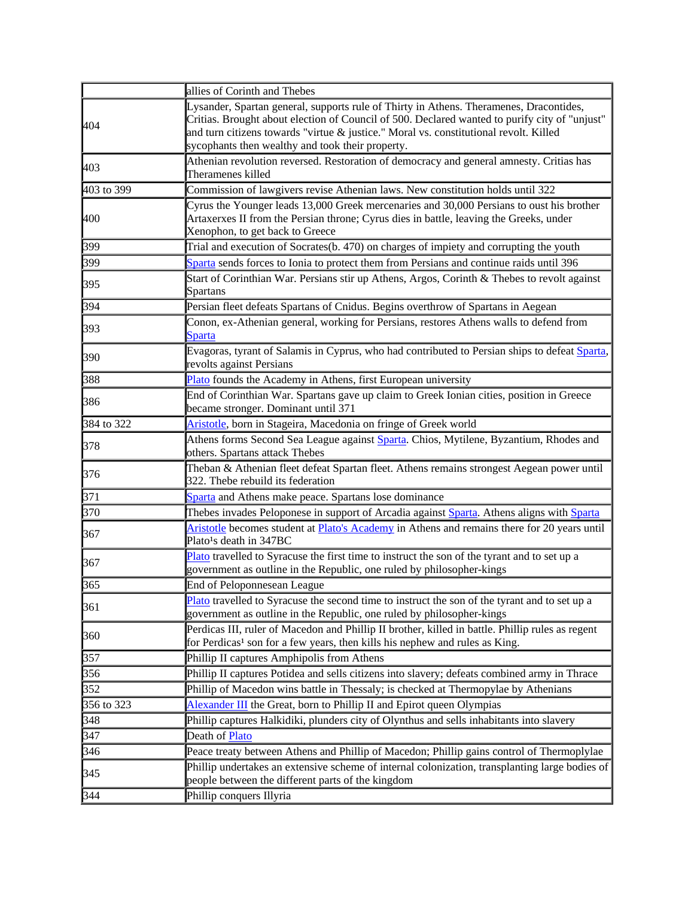|            | allies of Corinth and Thebes                                                                                                                                                                                                                                                                                                         |
|------------|--------------------------------------------------------------------------------------------------------------------------------------------------------------------------------------------------------------------------------------------------------------------------------------------------------------------------------------|
| 404        | Lysander, Spartan general, supports rule of Thirty in Athens. Theramenes, Dracontides,<br>Critias. Brought about election of Council of 500. Declared wanted to purify city of "unjust"<br>and turn citizens towards "virtue & justice." Moral vs. constitutional revolt. Killed<br>sycophants then wealthy and took their property. |
| 403        | Athenian revolution reversed. Restoration of democracy and general amnesty. Critias has<br>Theramenes killed                                                                                                                                                                                                                         |
| 403 to 399 | Commission of lawgivers revise Athenian laws. New constitution holds until 322                                                                                                                                                                                                                                                       |
| 400        | Cyrus the Younger leads 13,000 Greek mercenaries and 30,000 Persians to oust his brother<br>Artaxerxes II from the Persian throne; Cyrus dies in battle, leaving the Greeks, under<br>Xenophon, to get back to Greece                                                                                                                |
| 399        | Trial and execution of Socrates(b. 470) on charges of impiety and corrupting the youth                                                                                                                                                                                                                                               |
| 399        | Sparta sends forces to Ionia to protect them from Persians and continue raids until 396                                                                                                                                                                                                                                              |
| 395        | Start of Corinthian War. Persians stir up Athens, Argos, Corinth & Thebes to revolt against<br>Spartans                                                                                                                                                                                                                              |
| 394        | Persian fleet defeats Spartans of Cnidus. Begins overthrow of Spartans in Aegean                                                                                                                                                                                                                                                     |
| 393        | Conon, ex-Athenian general, working for Persians, restores Athens walls to defend from<br><b>Sparta</b>                                                                                                                                                                                                                              |
| 390        | Evagoras, tyrant of Salamis in Cyprus, who had contributed to Persian ships to defeat Sparta,<br>revolts against Persians                                                                                                                                                                                                            |
| 388        | Plato founds the Academy in Athens, first European university                                                                                                                                                                                                                                                                        |
| 386        | End of Corinthian War. Spartans gave up claim to Greek Ionian cities, position in Greece<br>became stronger. Dominant until 371                                                                                                                                                                                                      |
| 384 to 322 | Aristotle, born in Stageira, Macedonia on fringe of Greek world                                                                                                                                                                                                                                                                      |
| 378        | Athens forms Second Sea League against Sparta. Chios, Mytilene, Byzantium, Rhodes and<br>others. Spartans attack Thebes                                                                                                                                                                                                              |
| 376        | Theban & Athenian fleet defeat Spartan fleet. Athens remains strongest Aegean power until<br>322. Thebe rebuild its federation                                                                                                                                                                                                       |
| 371        | Sparta and Athens make peace. Spartans lose dominance                                                                                                                                                                                                                                                                                |
| 370        | Thebes invades Peloponese in support of Arcadia against Sparta. Athens aligns with Sparta                                                                                                                                                                                                                                            |
| 367        | Aristotle becomes student at Plato's Academy in Athens and remains there for 20 years until<br>Plato <sup>1</sup> s death in 347BC                                                                                                                                                                                                   |
| 367        | Plato travelled to Syracuse the first time to instruct the son of the tyrant and to set up a<br>government as outline in the Republic, one ruled by philosopher-kings                                                                                                                                                                |
| 365        | End of Peloponnesean League                                                                                                                                                                                                                                                                                                          |
| 361        | Plato travelled to Syracuse the second time to instruct the son of the tyrant and to set up a<br>government as outline in the Republic, one ruled by philosopher-kings                                                                                                                                                               |
| 360        | Perdicas III, ruler of Macedon and Phillip II brother, killed in battle. Phillip rules as regent<br>for Perdicas <sup>1</sup> son for a few years, then kills his nephew and rules as King.                                                                                                                                          |
| 357        | Phillip II captures Amphipolis from Athens                                                                                                                                                                                                                                                                                           |
| 356        | Phillip II captures Potidea and sells citizens into slavery; defeats combined army in Thrace                                                                                                                                                                                                                                         |
| 352        | Phillip of Macedon wins battle in Thessaly; is checked at Thermopylae by Athenians                                                                                                                                                                                                                                                   |
| 356 to 323 | Alexander III the Great, born to Phillip II and Epirot queen Olympias                                                                                                                                                                                                                                                                |
| 348        | Phillip captures Halkidiki, plunders city of Olynthus and sells inhabitants into slavery                                                                                                                                                                                                                                             |
| 347        | Death of <b>Plato</b>                                                                                                                                                                                                                                                                                                                |
| 346        | Peace treaty between Athens and Phillip of Macedon; Phillip gains control of Thermoplylae                                                                                                                                                                                                                                            |
| 345        | Phillip undertakes an extensive scheme of internal colonization, transplanting large bodies of<br>people between the different parts of the kingdom                                                                                                                                                                                  |
| 344        | Phillip conquers Illyria                                                                                                                                                                                                                                                                                                             |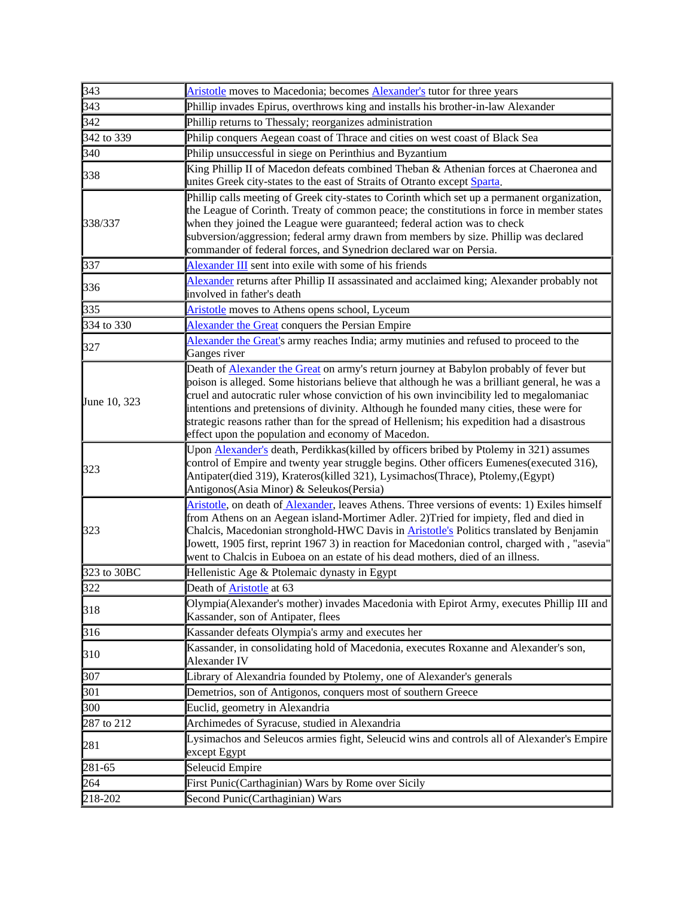| 343          | Aristotle moves to Macedonia; becomes <b>Alexander's</b> tutor for three years                                                                                                                                                                                                                                                                                                                                                                                                                                                            |
|--------------|-------------------------------------------------------------------------------------------------------------------------------------------------------------------------------------------------------------------------------------------------------------------------------------------------------------------------------------------------------------------------------------------------------------------------------------------------------------------------------------------------------------------------------------------|
| 343          | Phillip invades Epirus, overthrows king and installs his brother-in-law Alexander                                                                                                                                                                                                                                                                                                                                                                                                                                                         |
| 342          | Phillip returns to Thessaly; reorganizes administration                                                                                                                                                                                                                                                                                                                                                                                                                                                                                   |
| 342 to 339   | Philip conquers Aegean coast of Thrace and cities on west coast of Black Sea                                                                                                                                                                                                                                                                                                                                                                                                                                                              |
| 340          | Philip unsuccessful in siege on Perinthius and Byzantium                                                                                                                                                                                                                                                                                                                                                                                                                                                                                  |
| 338          | King Phillip II of Macedon defeats combined Theban & Athenian forces at Chaeronea and<br>unites Greek city-states to the east of Straits of Otranto except Sparta.                                                                                                                                                                                                                                                                                                                                                                        |
| 338/337      | Phillip calls meeting of Greek city-states to Corinth which set up a permanent organization,<br>the League of Corinth. Treaty of common peace; the constitutions in force in member states<br>when they joined the League were guaranteed; federal action was to check<br>subversion/aggression; federal army drawn from members by size. Phillip was declared<br>commander of federal forces, and Synedrion declared war on Persia.                                                                                                      |
| 337          | Alexander III sent into exile with some of his friends                                                                                                                                                                                                                                                                                                                                                                                                                                                                                    |
| 336          | Alexander returns after Phillip II assassinated and acclaimed king; Alexander probably not<br>involved in father's death                                                                                                                                                                                                                                                                                                                                                                                                                  |
| 335          | Aristotle moves to Athens opens school, Lyceum                                                                                                                                                                                                                                                                                                                                                                                                                                                                                            |
| 334 to 330   | Alexander the Great conquers the Persian Empire                                                                                                                                                                                                                                                                                                                                                                                                                                                                                           |
| 327          | Alexander the Great's army reaches India; army mutinies and refused to proceed to the<br>Ganges river                                                                                                                                                                                                                                                                                                                                                                                                                                     |
| June 10, 323 | Death of <b>Alexander the Great</b> on army's return journey at Babylon probably of fever but<br>poison is alleged. Some historians believe that although he was a brilliant general, he was a<br>cruel and autocratic ruler whose conviction of his own invincibility led to megalomaniac<br>intentions and pretensions of divinity. Although he founded many cities, these were for<br>strategic reasons rather than for the spread of Hellenism; his expedition had a disastrous<br>effect upon the population and economy of Macedon. |
| 323          | Upon Alexander's death, Perdikkas (killed by officers bribed by Ptolemy in 321) assumes<br>control of Empire and twenty year struggle begins. Other officers Eumenes(executed 316),<br>Antipater(died 319), Krateros(killed 321), Lysimachos(Thrace), Ptolemy,(Egypt)<br>Antigonos(Asia Minor) & Seleukos(Persia)                                                                                                                                                                                                                         |
| 323          | Aristotle, on death of Alexander, leaves Athens. Three versions of events: 1) Exiles himself<br>from Athens on an Aegean island-Mortimer Adler. 2)Tried for impiety, fled and died in<br>Chalcis, Macedonian stronghold-HWC Davis in <b>Aristotle's</b> Politics translated by Benjamin<br>Jowett, 1905 first, reprint 1967 3) in reaction for Macedonian control, charged with, "asevia"<br>went to Chalcis in Euboea on an estate of his dead mothers, died of an illness.                                                              |
| 323 to 30BC  | Hellenistic Age & Ptolemaic dynasty in Egypt                                                                                                                                                                                                                                                                                                                                                                                                                                                                                              |
| 322          | Death of <b>Aristotle</b> at 63                                                                                                                                                                                                                                                                                                                                                                                                                                                                                                           |
| 318          | Olympia(Alexander's mother) invades Macedonia with Epirot Army, executes Phillip III and<br>Kassander, son of Antipater, flees                                                                                                                                                                                                                                                                                                                                                                                                            |
| 316          | Kassander defeats Olympia's army and executes her                                                                                                                                                                                                                                                                                                                                                                                                                                                                                         |
| 310          | Kassander, in consolidating hold of Macedonia, executes Roxanne and Alexander's son,<br>Alexander IV                                                                                                                                                                                                                                                                                                                                                                                                                                      |
| 307          | Library of Alexandria founded by Ptolemy, one of Alexander's generals                                                                                                                                                                                                                                                                                                                                                                                                                                                                     |
| 301          | Demetrios, son of Antigonos, conquers most of southern Greece                                                                                                                                                                                                                                                                                                                                                                                                                                                                             |
| 300          | Euclid, geometry in Alexandria                                                                                                                                                                                                                                                                                                                                                                                                                                                                                                            |
| 287 to 212   | Archimedes of Syracuse, studied in Alexandria                                                                                                                                                                                                                                                                                                                                                                                                                                                                                             |
| 281          | Lysimachos and Seleucos armies fight, Seleucid wins and controls all of Alexander's Empire<br>except Egypt                                                                                                                                                                                                                                                                                                                                                                                                                                |
| 281-65       | Seleucid Empire                                                                                                                                                                                                                                                                                                                                                                                                                                                                                                                           |
| 264          | First Punic(Carthaginian) Wars by Rome over Sicily                                                                                                                                                                                                                                                                                                                                                                                                                                                                                        |
| 218-202      | Second Punic(Carthaginian) Wars                                                                                                                                                                                                                                                                                                                                                                                                                                                                                                           |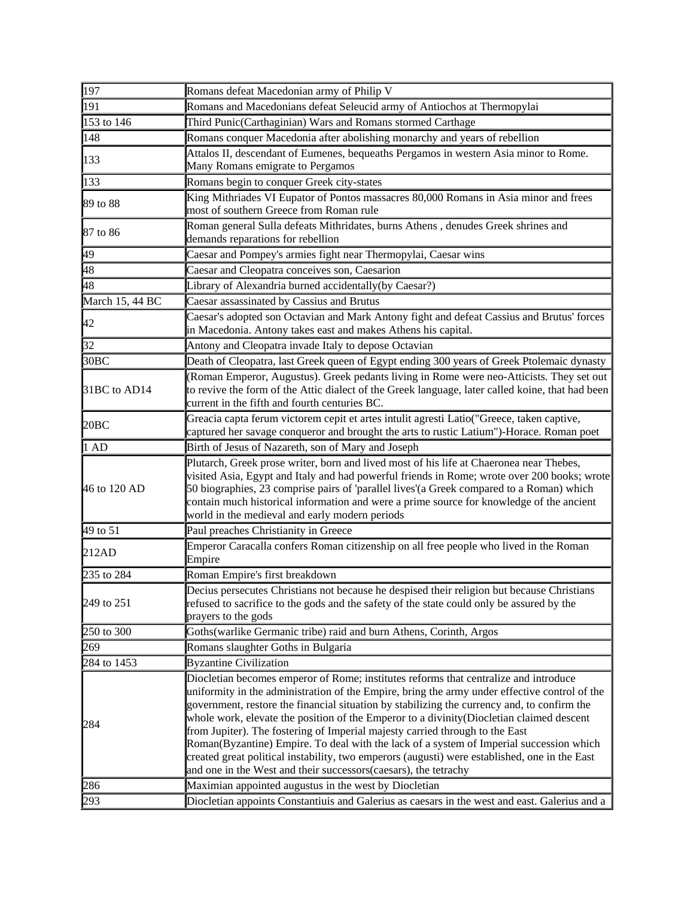| 197                 | Romans defeat Macedonian army of Philip V                                                                                                                                              |
|---------------------|----------------------------------------------------------------------------------------------------------------------------------------------------------------------------------------|
| 191                 | Romans and Macedonians defeat Seleucid army of Antiochos at Thermopylai                                                                                                                |
| 153 to 146          | Third Punic(Carthaginian) Wars and Romans stormed Carthage                                                                                                                             |
| 148                 | Romans conquer Macedonia after abolishing monarchy and years of rebellion                                                                                                              |
| 133                 | Attalos II, descendant of Eumenes, bequeaths Pergamos in western Asia minor to Rome.                                                                                                   |
|                     | Many Romans emigrate to Pergamos                                                                                                                                                       |
| 133                 | Romans begin to conquer Greek city-states                                                                                                                                              |
| 89 to 88            | King Mithriades VI Eupator of Pontos massacres 80,000 Romans in Asia minor and frees                                                                                                   |
|                     | most of southern Greece from Roman rule                                                                                                                                                |
| 87 to 86            | Roman general Sulla defeats Mithridates, burns Athens, denudes Greek shrines and                                                                                                       |
|                     | demands reparations for rebellion                                                                                                                                                      |
| 49                  | Caesar and Pompey's armies fight near Thermopylai, Caesar wins                                                                                                                         |
| 48                  | Caesar and Cleopatra conceives son, Caesarion                                                                                                                                          |
| 48                  | Library of Alexandria burned accidentally(by Caesar?)                                                                                                                                  |
| March 15, 44 BC     | Caesar assassinated by Cassius and Brutus                                                                                                                                              |
| 42                  | Caesar's adopted son Octavian and Mark Antony fight and defeat Cassius and Brutus' forces                                                                                              |
|                     | in Macedonia. Antony takes east and makes Athens his capital.                                                                                                                          |
| 32                  | Antony and Cleopatra invade Italy to depose Octavian                                                                                                                                   |
| 30 <sub>BC</sub>    | Death of Cleopatra, last Greek queen of Egypt ending 300 years of Greek Ptolemaic dynasty                                                                                              |
|                     | (Roman Emperor, Augustus). Greek pedants living in Rome were neo-Atticists. They set out                                                                                               |
| 31BC to AD14        | to revive the form of the Attic dialect of the Greek language, later called koine, that had been                                                                                       |
|                     | current in the fifth and fourth centuries BC.                                                                                                                                          |
| 20BC                | Greacia capta ferum victorem cepit et artes intulit agresti Latio("Greece, taken captive,<br>captured her savage conqueror and brought the arts to rustic Latium")-Horace. Roman poet  |
| 1AD                 | Birth of Jesus of Nazareth, son of Mary and Joseph                                                                                                                                     |
|                     |                                                                                                                                                                                        |
|                     | Plutarch, Greek prose writer, born and lived most of his life at Chaeronea near Thebes,<br>visited Asia, Egypt and Italy and had powerful friends in Rome; wrote over 200 books; wrote |
| 46 to 120 AD        | 50 biographies, 23 comprise pairs of 'parallel lives'(a Greek compared to a Roman) which                                                                                               |
|                     | contain much historical information and were a prime source for knowledge of the ancient                                                                                               |
|                     | world in the medieval and early modern periods                                                                                                                                         |
| $49 \text{ to } 51$ | Paul preaches Christianity in Greece                                                                                                                                                   |
| 212AD               | Emperor Caracalla confers Roman citizenship on all free people who lived in the Roman                                                                                                  |
|                     | Empire                                                                                                                                                                                 |
| 235 to 284          | Roman Empire's first breakdown                                                                                                                                                         |
|                     | Decius persecutes Christians not because he despised their religion but because Christians                                                                                             |
| 249 to 251          | refused to sacrifice to the gods and the safety of the state could only be assured by the                                                                                              |
|                     | prayers to the gods                                                                                                                                                                    |
| 250 to 300          | Goths(warlike Germanic tribe) raid and burn Athens, Corinth, Argos                                                                                                                     |
| 269                 | Romans slaughter Goths in Bulgaria                                                                                                                                                     |
| 284 to 1453         | <b>Byzantine Civilization</b>                                                                                                                                                          |
|                     | Diocletian becomes emperor of Rome; institutes reforms that centralize and introduce                                                                                                   |
|                     | uniformity in the administration of the Empire, bring the army under effective control of the                                                                                          |
| 284                 | government, restore the financial situation by stabilizing the currency and, to confirm the                                                                                            |
|                     | whole work, elevate the position of the Emperor to a divinity (Diocletian claimed descent<br>from Jupiter). The fostering of Imperial majesty carried through to the East              |
|                     | Roman(Byzantine) Empire. To deal with the lack of a system of Imperial succession which                                                                                                |
|                     | created great political instability, two emperors (augusti) were established, one in the East                                                                                          |
|                     | and one in the West and their successors(caesars), the tetrachy                                                                                                                        |
| 286                 | Maximian appointed augustus in the west by Diocletian                                                                                                                                  |
| 293                 | Diocletian appoints Constantiuis and Galerius as caesars in the west and east. Galerius and a                                                                                          |
|                     |                                                                                                                                                                                        |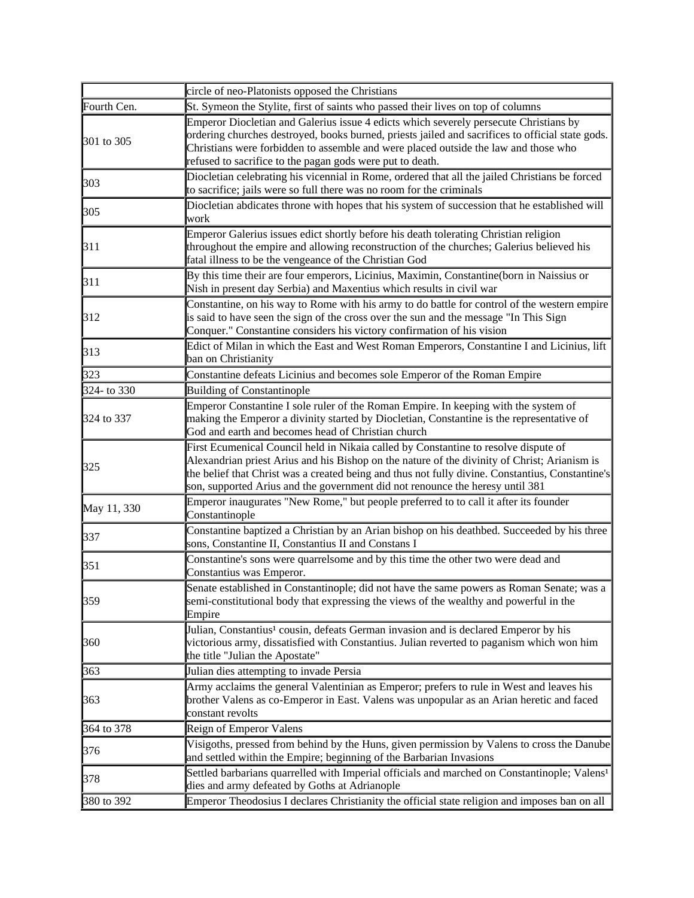|             | circle of neo-Platonists opposed the Christians                                                                                                                                                                                                                                                                                                                          |
|-------------|--------------------------------------------------------------------------------------------------------------------------------------------------------------------------------------------------------------------------------------------------------------------------------------------------------------------------------------------------------------------------|
| Fourth Cen. | St. Symeon the Stylite, first of saints who passed their lives on top of columns                                                                                                                                                                                                                                                                                         |
| 301 to 305  | Emperor Diocletian and Galerius issue 4 edicts which severely persecute Christians by<br>ordering churches destroyed, books burned, priests jailed and sacrifices to official state gods.<br>Christians were forbidden to assemble and were placed outside the law and those who<br>refused to sacrifice to the pagan gods were put to death.                            |
| 303         | Diocletian celebrating his vicennial in Rome, ordered that all the jailed Christians be forced<br>to sacrifice; jails were so full there was no room for the criminals                                                                                                                                                                                                   |
| 305         | Diocletian abdicates throne with hopes that his system of succession that he established will<br>work                                                                                                                                                                                                                                                                    |
| 311         | Emperor Galerius issues edict shortly before his death tolerating Christian religion<br>throughout the empire and allowing reconstruction of the churches; Galerius believed his<br>fatal illness to be the vengeance of the Christian God                                                                                                                               |
| 311         | By this time their are four emperors, Licinius, Maximin, Constantine(born in Naissius or<br>Nish in present day Serbia) and Maxentius which results in civil war                                                                                                                                                                                                         |
| 312         | Constantine, on his way to Rome with his army to do battle for control of the western empire<br>is said to have seen the sign of the cross over the sun and the message "In This Sign<br>Conquer." Constantine considers his victory confirmation of his vision                                                                                                          |
| 313         | Edict of Milan in which the East and West Roman Emperors, Constantine I and Licinius, lift<br>ban on Christianity                                                                                                                                                                                                                                                        |
| 323         | Constantine defeats Licinius and becomes sole Emperor of the Roman Empire                                                                                                                                                                                                                                                                                                |
| 324- to 330 | <b>Building of Constantinople</b>                                                                                                                                                                                                                                                                                                                                        |
| 324 to 337  | Emperor Constantine I sole ruler of the Roman Empire. In keeping with the system of<br>making the Emperor a divinity started by Diocletian, Constantine is the representative of<br>God and earth and becomes head of Christian church                                                                                                                                   |
| 325         | First Ecumenical Council held in Nikaia called by Constantine to resolve dispute of<br>Alexandrian priest Arius and his Bishop on the nature of the divinity of Christ; Arianism is<br>the belief that Christ was a created being and thus not fully divine. Constantius, Constantine's<br>son, supported Arius and the government did not renounce the heresy until 381 |
| May 11, 330 | Emperor inaugurates "New Rome," but people preferred to to call it after its founder<br>Constantinople                                                                                                                                                                                                                                                                   |
| 337         | Constantine baptized a Christian by an Arian bishop on his deathbed. Succeeded by his three<br>sons, Constantine II, Constantius II and Constans I                                                                                                                                                                                                                       |
| 351         | Constantine's sons were quarrelsome and by this time the other two were dead and<br>Constantius was Emperor.                                                                                                                                                                                                                                                             |
| 359         | Senate established in Constantinople; did not have the same powers as Roman Senate; was a<br>semi-constitutional body that expressing the views of the wealthy and powerful in the<br>Empire                                                                                                                                                                             |
| 360         | Julian, Constantius <sup>1</sup> cousin, defeats German invasion and is declared Emperor by his<br>victorious army, dissatisfied with Constantius. Julian reverted to paganism which won him<br>the title "Julian the Apostate"                                                                                                                                          |
| 363         | Julian dies attempting to invade Persia                                                                                                                                                                                                                                                                                                                                  |
| 363         | Army acclaims the general Valentinian as Emperor; prefers to rule in West and leaves his<br>brother Valens as co-Emperor in East. Valens was unpopular as an Arian heretic and faced<br>constant revolts                                                                                                                                                                 |
| 364 to 378  | Reign of Emperor Valens                                                                                                                                                                                                                                                                                                                                                  |
| 376         | Visigoths, pressed from behind by the Huns, given permission by Valens to cross the Danube<br>and settled within the Empire; beginning of the Barbarian Invasions                                                                                                                                                                                                        |
| 378         | Settled barbarians quarrelled with Imperial officials and marched on Constantinople; Valens <sup>1</sup><br>dies and army defeated by Goths at Adrianople                                                                                                                                                                                                                |
| 380 to 392  | Emperor Theodosius I declares Christianity the official state religion and imposes ban on all                                                                                                                                                                                                                                                                            |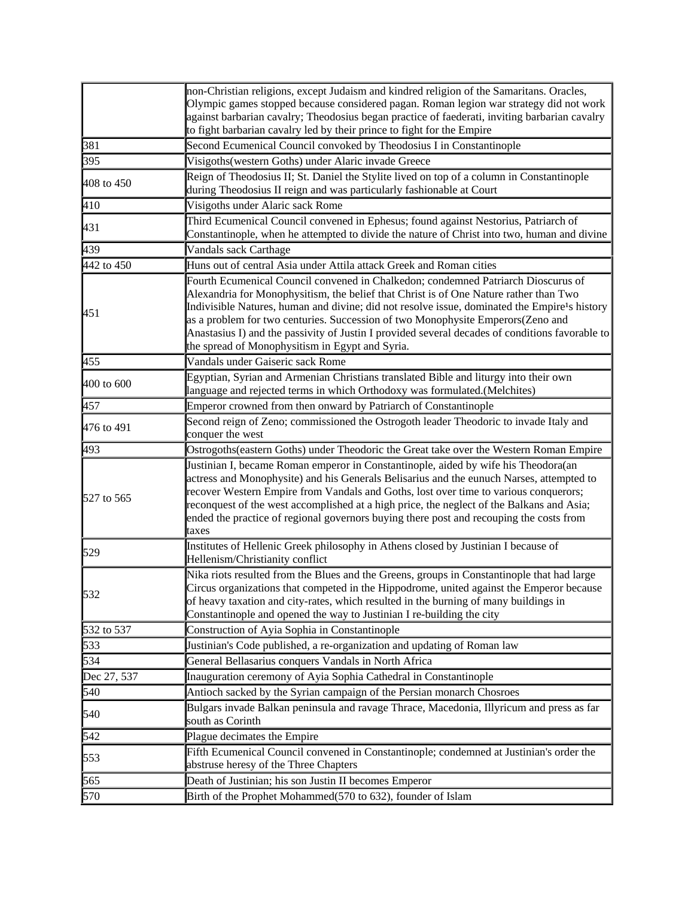|                   | non-Christian religions, except Judaism and kindred religion of the Samaritans. Oracles,<br>Olympic games stopped because considered pagan. Roman legion war strategy did not work<br>against barbarian cavalry; Theodosius began practice of faederati, inviting barbarian cavalry<br>to fight barbarian cavalry led by their prince to fight for the Empire                                                                                                                                                                    |
|-------------------|----------------------------------------------------------------------------------------------------------------------------------------------------------------------------------------------------------------------------------------------------------------------------------------------------------------------------------------------------------------------------------------------------------------------------------------------------------------------------------------------------------------------------------|
| 381               | Second Ecumenical Council convoked by Theodosius I in Constantinople                                                                                                                                                                                                                                                                                                                                                                                                                                                             |
| 395               | Visigoths (western Goths) under Alaric invade Greece                                                                                                                                                                                                                                                                                                                                                                                                                                                                             |
| 408 to 450        | Reign of Theodosius II; St. Daniel the Stylite lived on top of a column in Constantinople<br>during Theodosius II reign and was particularly fashionable at Court                                                                                                                                                                                                                                                                                                                                                                |
| 410               | Visigoths under Alaric sack Rome                                                                                                                                                                                                                                                                                                                                                                                                                                                                                                 |
| 431               | Third Ecumenical Council convened in Ephesus; found against Nestorius, Patriarch of<br>Constantinople, when he attempted to divide the nature of Christ into two, human and divine                                                                                                                                                                                                                                                                                                                                               |
| 439               | Vandals sack Carthage                                                                                                                                                                                                                                                                                                                                                                                                                                                                                                            |
| 442 to 450        | Huns out of central Asia under Attila attack Greek and Roman cities                                                                                                                                                                                                                                                                                                                                                                                                                                                              |
| 451               | Fourth Ecumenical Council convened in Chalkedon; condemned Patriarch Dioscurus of<br>Alexandria for Monophysitism, the belief that Christ is of One Nature rather than Two<br>Indivisible Natures, human and divine; did not resolve issue, dominated the Empire <sup>1</sup> s history<br>as a problem for two centuries. Succession of two Monophysite Emperors(Zeno and<br>Anastasius I) and the passivity of Justin I provided several decades of conditions favorable to<br>the spread of Monophysitism in Egypt and Syria. |
| 455               | Vandals under Gaiseric sack Rome                                                                                                                                                                                                                                                                                                                                                                                                                                                                                                 |
| 400 to 600        | Egyptian, Syrian and Armenian Christians translated Bible and liturgy into their own<br>language and rejected terms in which Orthodoxy was formulated.(Melchites)                                                                                                                                                                                                                                                                                                                                                                |
| 457               | Emperor crowned from then onward by Patriarch of Constantinople                                                                                                                                                                                                                                                                                                                                                                                                                                                                  |
| 476 to 491        | Second reign of Zeno; commissioned the Ostrogoth leader Theodoric to invade Italy and<br>conquer the west                                                                                                                                                                                                                                                                                                                                                                                                                        |
| 493               | Ostrogoths(eastern Goths) under Theodoric the Great take over the Western Roman Empire                                                                                                                                                                                                                                                                                                                                                                                                                                           |
| <b>527 to 565</b> | Justinian I, became Roman emperor in Constantinople, aided by wife his Theodora(an<br>actress and Monophysite) and his Generals Belisarius and the eunuch Narses, attempted to<br>recover Western Empire from Vandals and Goths, lost over time to various conquerors;<br>reconquest of the west accomplished at a high price, the neglect of the Balkans and Asia;<br>ended the practice of regional governors buying there post and recouping the costs from<br>taxes                                                          |
| 529               | Institutes of Hellenic Greek philosophy in Athens closed by Justinian I because of<br>Hellenism/Christianity conflict                                                                                                                                                                                                                                                                                                                                                                                                            |
| 532               | Nika riots resulted from the Blues and the Greens, groups in Constantinople that had large<br>Circus organizations that competed in the Hippodrome, united against the Emperor because<br>of heavy taxation and city-rates, which resulted in the burning of many buildings in<br>Constantinople and opened the way to Justinian I re-building the city                                                                                                                                                                          |
| 532 to 537        | Construction of Ayia Sophia in Constantinople                                                                                                                                                                                                                                                                                                                                                                                                                                                                                    |
| 533               | Justinian's Code published, a re-organization and updating of Roman law                                                                                                                                                                                                                                                                                                                                                                                                                                                          |
| 534               | General Bellasarius conquers Vandals in North Africa                                                                                                                                                                                                                                                                                                                                                                                                                                                                             |
| Dec 27, 537       | Inauguration ceremony of Ayia Sophia Cathedral in Constantinople                                                                                                                                                                                                                                                                                                                                                                                                                                                                 |
| 540               | Antioch sacked by the Syrian campaign of the Persian monarch Chosroes                                                                                                                                                                                                                                                                                                                                                                                                                                                            |
| 540               | Bulgars invade Balkan peninsula and ravage Thrace, Macedonia, Illyricum and press as far<br>south as Corinth                                                                                                                                                                                                                                                                                                                                                                                                                     |
| 542               | Plague decimates the Empire                                                                                                                                                                                                                                                                                                                                                                                                                                                                                                      |
| 553               | Fifth Ecumenical Council convened in Constantinople; condemned at Justinian's order the<br>abstruse heresy of the Three Chapters                                                                                                                                                                                                                                                                                                                                                                                                 |
| 565               | Death of Justinian; his son Justin II becomes Emperor                                                                                                                                                                                                                                                                                                                                                                                                                                                                            |
| 570               | Birth of the Prophet Mohammed(570 to 632), founder of Islam                                                                                                                                                                                                                                                                                                                                                                                                                                                                      |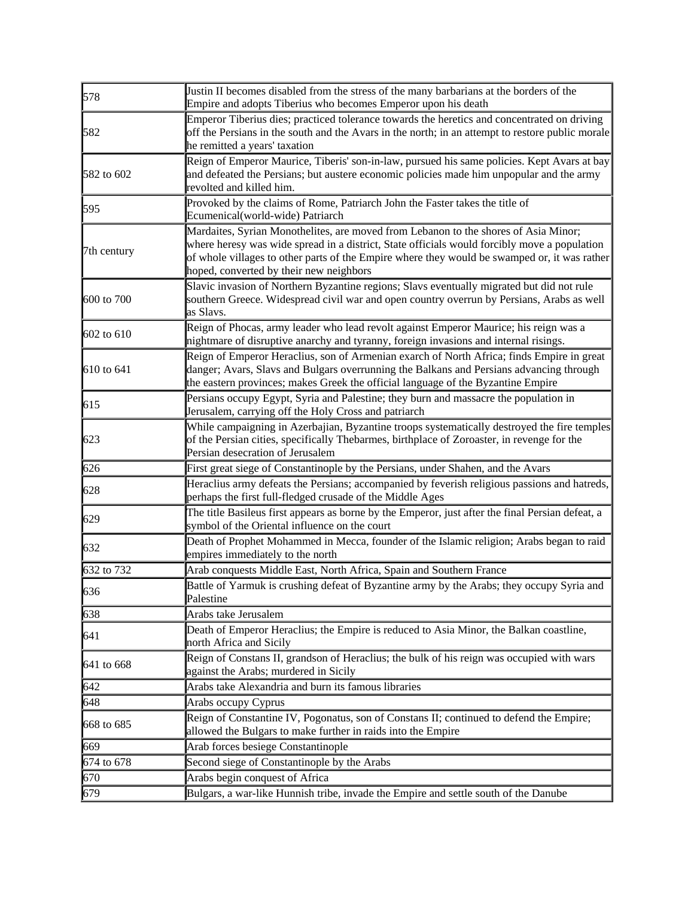| 578         | Justin II becomes disabled from the stress of the many barbarians at the borders of the<br>Empire and adopts Tiberius who becomes Emperor upon his death                                                                                                                                                                       |
|-------------|--------------------------------------------------------------------------------------------------------------------------------------------------------------------------------------------------------------------------------------------------------------------------------------------------------------------------------|
| 582         | Emperor Tiberius dies; practiced tolerance towards the heretics and concentrated on driving<br>off the Persians in the south and the Avars in the north; in an attempt to restore public morale<br>he remitted a years' taxation                                                                                               |
| 582 to 602  | Reign of Emperor Maurice, Tiberis' son-in-law, pursued his same policies. Kept Avars at bay<br>and defeated the Persians; but austere economic policies made him unpopular and the army<br>revolted and killed him.                                                                                                            |
| 595         | Provoked by the claims of Rome, Patriarch John the Faster takes the title of<br>Ecumenical(world-wide) Patriarch                                                                                                                                                                                                               |
| 7th century | Mardaites, Syrian Monothelites, are moved from Lebanon to the shores of Asia Minor;<br>where heresy was wide spread in a district, State officials would forcibly move a population<br>of whole villages to other parts of the Empire where they would be swamped or, it was rather<br>hoped, converted by their new neighbors |
| 600 to 700  | Slavic invasion of Northern Byzantine regions; Slavs eventually migrated but did not rule<br>southern Greece. Widespread civil war and open country overrun by Persians, Arabs as well<br>as Slavs.                                                                                                                            |
| 602 to 610  | Reign of Phocas, army leader who lead revolt against Emperor Maurice; his reign was a<br>nightmare of disruptive anarchy and tyranny, foreign invasions and internal risings.                                                                                                                                                  |
| 610 to 641  | Reign of Emperor Heraclius, son of Armenian exarch of North Africa; finds Empire in great<br>danger; Avars, Slavs and Bulgars overrunning the Balkans and Persians advancing through<br>the eastern provinces; makes Greek the official language of the Byzantine Empire                                                       |
| 615         | Persians occupy Egypt, Syria and Palestine; they burn and massacre the population in<br>Jerusalem, carrying off the Holy Cross and patriarch                                                                                                                                                                                   |
| 623         | While campaigning in Azerbajian, Byzantine troops systematically destroyed the fire temples<br>of the Persian cities, specifically Thebarmes, birthplace of Zoroaster, in revenge for the<br>Persian desecration of Jerusalem                                                                                                  |
| 626         | First great siege of Constantinople by the Persians, under Shahen, and the Avars                                                                                                                                                                                                                                               |
| 628         | Heraclius army defeats the Persians; accompanied by feverish religious passions and hatreds,<br>perhaps the first full-fledged crusade of the Middle Ages                                                                                                                                                                      |
| 629         | The title Basileus first appears as borne by the Emperor, just after the final Persian defeat, a<br>symbol of the Oriental influence on the court                                                                                                                                                                              |
| 632         | Death of Prophet Mohammed in Mecca, founder of the Islamic religion; Arabs began to raid<br>empires immediately to the north                                                                                                                                                                                                   |
| 632 to 732  | Arab conquests Middle East, North Africa, Spain and Southern France                                                                                                                                                                                                                                                            |
| 636         | Battle of Yarmuk is crushing defeat of Byzantine army by the Arabs; they occupy Syria and<br>Palestine                                                                                                                                                                                                                         |
| 638         | Arabs take Jerusalem                                                                                                                                                                                                                                                                                                           |
| 641         | Death of Emperor Heraclius; the Empire is reduced to Asia Minor, the Balkan coastline,<br>north Africa and Sicily                                                                                                                                                                                                              |
| 641 to 668  | Reign of Constans II, grandson of Heraclius; the bulk of his reign was occupied with wars<br>against the Arabs; murdered in Sicily                                                                                                                                                                                             |
| 642         | Arabs take Alexandria and burn its famous libraries                                                                                                                                                                                                                                                                            |
| 648         | Arabs occupy Cyprus                                                                                                                                                                                                                                                                                                            |
| 668 to 685  | Reign of Constantine IV, Pogonatus, son of Constans II; continued to defend the Empire;<br>allowed the Bulgars to make further in raids into the Empire                                                                                                                                                                        |
| 669         | Arab forces besiege Constantinople                                                                                                                                                                                                                                                                                             |
| 674 to 678  | Second siege of Constantinople by the Arabs                                                                                                                                                                                                                                                                                    |
| 670         | Arabs begin conquest of Africa                                                                                                                                                                                                                                                                                                 |
| 679         | Bulgars, a war-like Hunnish tribe, invade the Empire and settle south of the Danube                                                                                                                                                                                                                                            |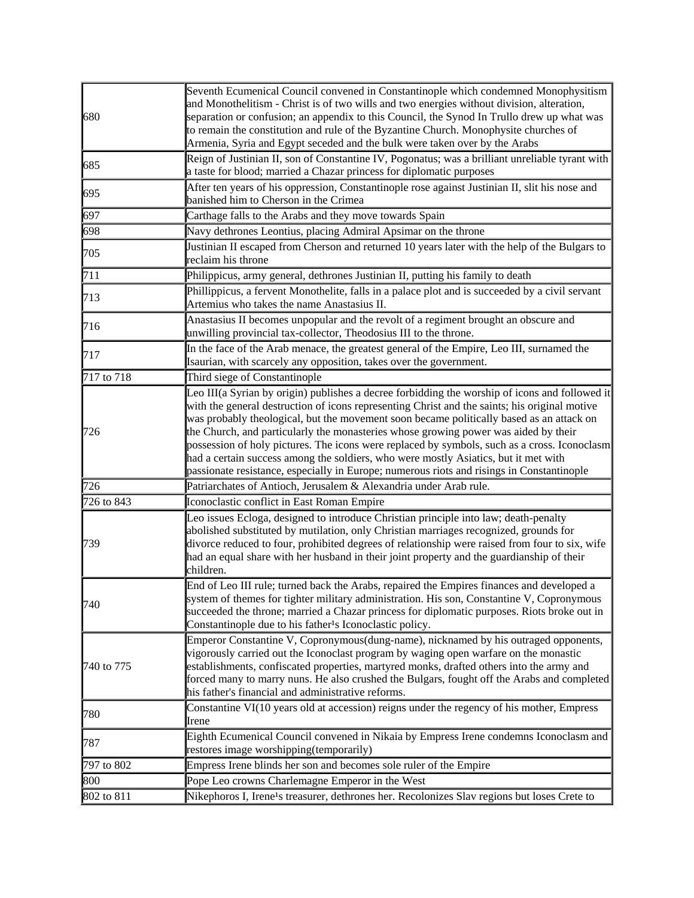| 680        | Seventh Ecumenical Council convened in Constantinople which condemned Monophysitism<br>and Monothelitism - Christ is of two wills and two energies without division, alteration,<br>separation or confusion; an appendix to this Council, the Synod In Trullo drew up what was<br>to remain the constitution and rule of the Byzantine Church. Monophysite churches of<br>Armenia, Syria and Egypt seceded and the bulk were taken over by the Arabs                                                                                                                                                                                                                   |
|------------|------------------------------------------------------------------------------------------------------------------------------------------------------------------------------------------------------------------------------------------------------------------------------------------------------------------------------------------------------------------------------------------------------------------------------------------------------------------------------------------------------------------------------------------------------------------------------------------------------------------------------------------------------------------------|
| 685        | Reign of Justinian II, son of Constantine IV, Pogonatus; was a brilliant unreliable tyrant with<br>a taste for blood; married a Chazar princess for diplomatic purposes                                                                                                                                                                                                                                                                                                                                                                                                                                                                                                |
| 695        | After ten years of his oppression, Constantinople rose against Justinian II, slit his nose and<br>banished him to Cherson in the Crimea                                                                                                                                                                                                                                                                                                                                                                                                                                                                                                                                |
| 697        | Carthage falls to the Arabs and they move towards Spain                                                                                                                                                                                                                                                                                                                                                                                                                                                                                                                                                                                                                |
| 698        | Navy dethrones Leontius, placing Admiral Apsimar on the throne                                                                                                                                                                                                                                                                                                                                                                                                                                                                                                                                                                                                         |
| 705        | Justinian II escaped from Cherson and returned 10 years later with the help of the Bulgars to<br>reclaim his throne                                                                                                                                                                                                                                                                                                                                                                                                                                                                                                                                                    |
| 711        | Philippicus, army general, dethrones Justinian II, putting his family to death                                                                                                                                                                                                                                                                                                                                                                                                                                                                                                                                                                                         |
| 713        | Phillippicus, a fervent Monothelite, falls in a palace plot and is succeeded by a civil servant<br>Artemius who takes the name Anastasius II.                                                                                                                                                                                                                                                                                                                                                                                                                                                                                                                          |
| 716        | Anastasius II becomes unpopular and the revolt of a regiment brought an obscure and<br>unwilling provincial tax-collector, Theodosius III to the throne.                                                                                                                                                                                                                                                                                                                                                                                                                                                                                                               |
| 717        | In the face of the Arab menace, the greatest general of the Empire, Leo III, surnamed the<br>Isaurian, with scarcely any opposition, takes over the government.                                                                                                                                                                                                                                                                                                                                                                                                                                                                                                        |
| 717 to 718 | Third siege of Constantinople                                                                                                                                                                                                                                                                                                                                                                                                                                                                                                                                                                                                                                          |
| 726        | Leo III(a Syrian by origin) publishes a decree forbidding the worship of icons and followed it<br>with the general destruction of icons representing Christ and the saints; his original motive<br>was probably theological, but the movement soon became politically based as an attack on<br>the Church, and particularly the monasteries whose growing power was aided by their<br>possession of holy pictures. The icons were replaced by symbols, such as a cross. Iconoclasm<br>had a certain success among the soldiers, who were mostly Asiatics, but it met with<br>passionate resistance, especially in Europe; numerous riots and risings in Constantinople |
| 726        | Patriarchates of Antioch, Jerusalem & Alexandria under Arab rule.                                                                                                                                                                                                                                                                                                                                                                                                                                                                                                                                                                                                      |
| 726 to 843 | Iconoclastic conflict in East Roman Empire                                                                                                                                                                                                                                                                                                                                                                                                                                                                                                                                                                                                                             |
| 739        | Leo issues Ecloga, designed to introduce Christian principle into law; death-penalty<br>abolished substituted by mutilation, only Christian marriages recognized, grounds for<br>divorce reduced to four, prohibited degrees of relationship were raised from four to six, wife<br>had an equal share with her husband in their joint property and the guardianship of their<br>children.                                                                                                                                                                                                                                                                              |
| 740        | End of Leo III rule; turned back the Arabs, repaired the Empires finances and developed a<br>system of themes for tighter military administration. His son, Constantine V, Copronymous<br>succeeded the throne; married a Chazar princess for diplomatic purposes. Riots broke out in<br>Constantinople due to his father's Iconoclastic policy.                                                                                                                                                                                                                                                                                                                       |
| 740 to 775 | Emperor Constantine V, Copronymous(dung-name), nicknamed by his outraged opponents,<br>vigorously carried out the Iconoclast program by waging open warfare on the monastic<br>establishments, confiscated properties, martyred monks, drafted others into the army and<br>forced many to marry nuns. He also crushed the Bulgars, fought off the Arabs and completed<br>his father's financial and administrative reforms.                                                                                                                                                                                                                                            |
| 780        | Constantine VI(10 years old at accession) reigns under the regency of his mother, Empress<br>Irene                                                                                                                                                                                                                                                                                                                                                                                                                                                                                                                                                                     |
| 787        | Eighth Ecumenical Council convened in Nikaia by Empress Irene condemns Iconoclasm and<br>restores image worshipping(temporarily)                                                                                                                                                                                                                                                                                                                                                                                                                                                                                                                                       |
| 797 to 802 | Empress Irene blinds her son and becomes sole ruler of the Empire                                                                                                                                                                                                                                                                                                                                                                                                                                                                                                                                                                                                      |
| 800        | Pope Leo crowns Charlemagne Emperor in the West                                                                                                                                                                                                                                                                                                                                                                                                                                                                                                                                                                                                                        |
| 802 to 811 | Nikephoros I, Irene <sup>1</sup> s treasurer, dethrones her. Recolonizes Slav regions but loses Crete to                                                                                                                                                                                                                                                                                                                                                                                                                                                                                                                                                               |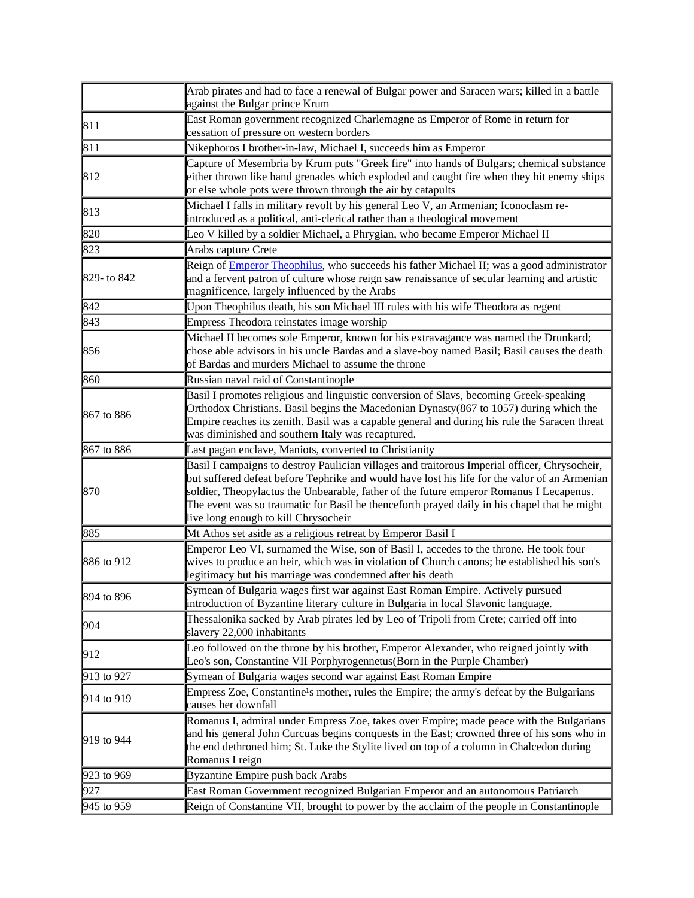|             | Arab pirates and had to face a renewal of Bulgar power and Saracen wars; killed in a battle<br>against the Bulgar prince Krum                                                                                                                                                                                                                                                                                                     |
|-------------|-----------------------------------------------------------------------------------------------------------------------------------------------------------------------------------------------------------------------------------------------------------------------------------------------------------------------------------------------------------------------------------------------------------------------------------|
| 811         | East Roman government recognized Charlemagne as Emperor of Rome in return for<br>cessation of pressure on western borders                                                                                                                                                                                                                                                                                                         |
| 811         | Nikephoros I brother-in-law, Michael I, succeeds him as Emperor                                                                                                                                                                                                                                                                                                                                                                   |
| 812         | Capture of Mesembria by Krum puts "Greek fire" into hands of Bulgars; chemical substance<br>either thrown like hand grenades which exploded and caught fire when they hit enemy ships<br>or else whole pots were thrown through the air by catapults                                                                                                                                                                              |
| 813         | Michael I falls in military revolt by his general Leo V, an Armenian; Iconoclasm re-<br>introduced as a political, anti-clerical rather than a theological movement                                                                                                                                                                                                                                                               |
| 820         | Leo V killed by a soldier Michael, a Phrygian, who became Emperor Michael II                                                                                                                                                                                                                                                                                                                                                      |
| 823         | Arabs capture Crete                                                                                                                                                                                                                                                                                                                                                                                                               |
| 829- to 842 | Reign of <i>Emperor Theophilus</i> , who succeeds his father Michael II; was a good administrator<br>and a fervent patron of culture whose reign saw renaissance of secular learning and artistic<br>magnificence, largely influenced by the Arabs                                                                                                                                                                                |
| 842         | Upon Theophilus death, his son Michael III rules with his wife Theodora as regent                                                                                                                                                                                                                                                                                                                                                 |
| 843         | Empress Theodora reinstates image worship                                                                                                                                                                                                                                                                                                                                                                                         |
| 856         | Michael II becomes sole Emperor, known for his extravagance was named the Drunkard;<br>chose able advisors in his uncle Bardas and a slave-boy named Basil; Basil causes the death<br>of Bardas and murders Michael to assume the throne                                                                                                                                                                                          |
| 860         | Russian naval raid of Constantinople                                                                                                                                                                                                                                                                                                                                                                                              |
| 867 to 886  | Basil I promotes religious and linguistic conversion of Slavs, becoming Greek-speaking<br>Orthodox Christians. Basil begins the Macedonian Dynasty(867 to 1057) during which the<br>Empire reaches its zenith. Basil was a capable general and during his rule the Saracen threat<br>was diminished and southern Italy was recaptured.                                                                                            |
| 867 to 886  | Last pagan enclave, Maniots, converted to Christianity                                                                                                                                                                                                                                                                                                                                                                            |
| 870         | Basil I campaigns to destroy Paulician villages and traitorous Imperial officer, Chrysocheir,<br>but suffered defeat before Tephrike and would have lost his life for the valor of an Armenian<br>soldier, Theopylactus the Unbearable, father of the future emperor Romanus I Lecapenus.<br>The event was so traumatic for Basil he thenceforth prayed daily in his chapel that he might<br>live long enough to kill Chrysocheir |
| 885         | Mt Athos set aside as a religious retreat by Emperor Basil I                                                                                                                                                                                                                                                                                                                                                                      |
| 886 to 912  | Emperor Leo VI, surnamed the Wise, son of Basil I, accedes to the throne. He took four<br>wives to produce an heir, which was in violation of Church canons; he established his son's<br>legitimacy but his marriage was condemned after his death                                                                                                                                                                                |
| 894 to 896  | Symean of Bulgaria wages first war against East Roman Empire. Actively pursued<br>introduction of Byzantine literary culture in Bulgaria in local Slavonic language.                                                                                                                                                                                                                                                              |
| 904         | Thessalonika sacked by Arab pirates led by Leo of Tripoli from Crete; carried off into<br>slavery 22,000 inhabitants                                                                                                                                                                                                                                                                                                              |
| 912         | Leo followed on the throne by his brother, Emperor Alexander, who reigned jointly with<br>Leo's son, Constantine VII Porphyrogennetus(Born in the Purple Chamber)                                                                                                                                                                                                                                                                 |
| 913 to 927  | Symean of Bulgaria wages second war against East Roman Empire                                                                                                                                                                                                                                                                                                                                                                     |
| 914 to 919  | Empress Zoe, Constantine <sup>1</sup> s mother, rules the Empire; the army's defeat by the Bulgarians<br>causes her downfall                                                                                                                                                                                                                                                                                                      |
| 919 to 944  | Romanus I, admiral under Empress Zoe, takes over Empire; made peace with the Bulgarians<br>and his general John Curcuas begins conquests in the East; crowned three of his sons who in<br>the end dethroned him; St. Luke the Stylite lived on top of a column in Chalcedon during<br>Romanus I reign                                                                                                                             |
| 923 to 969  | <b>Byzantine Empire push back Arabs</b>                                                                                                                                                                                                                                                                                                                                                                                           |
| 927         | East Roman Government recognized Bulgarian Emperor and an autonomous Patriarch                                                                                                                                                                                                                                                                                                                                                    |
| 945 to 959  | Reign of Constantine VII, brought to power by the acclaim of the people in Constantinople                                                                                                                                                                                                                                                                                                                                         |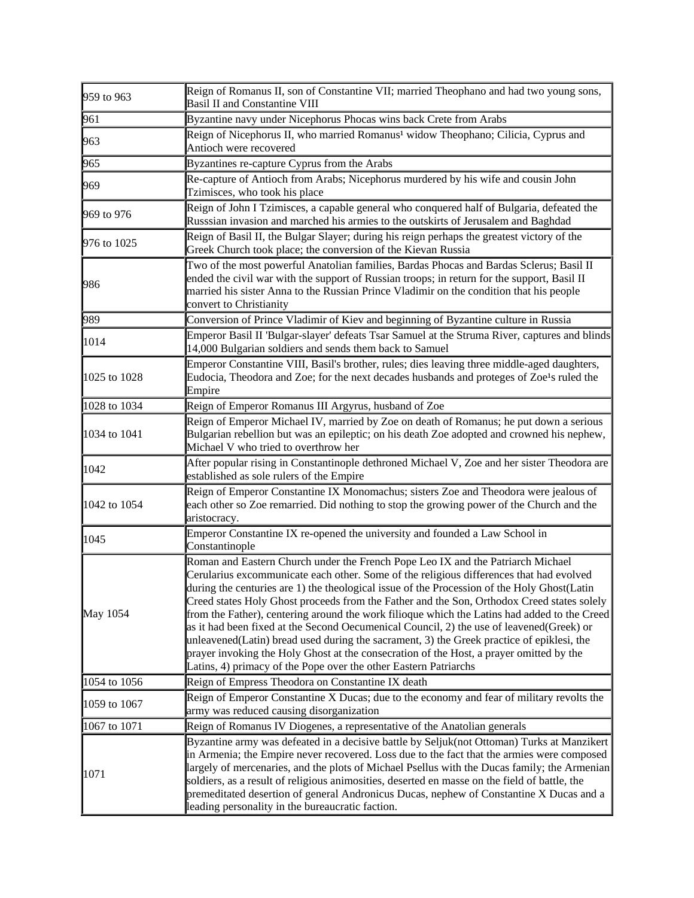| 959 to 963   | Reign of Romanus II, son of Constantine VII; married Theophano and had two young sons,<br><b>Basil II and Constantine VIII</b>                                                                                                                                                                                                                                                                                                                                                                                                                                                                                                                                                                                                                                                                                                   |
|--------------|----------------------------------------------------------------------------------------------------------------------------------------------------------------------------------------------------------------------------------------------------------------------------------------------------------------------------------------------------------------------------------------------------------------------------------------------------------------------------------------------------------------------------------------------------------------------------------------------------------------------------------------------------------------------------------------------------------------------------------------------------------------------------------------------------------------------------------|
| 961          | Byzantine navy under Nicephorus Phocas wins back Crete from Arabs                                                                                                                                                                                                                                                                                                                                                                                                                                                                                                                                                                                                                                                                                                                                                                |
| 963          | Reign of Nicephorus II, who married Romanus <sup>1</sup> widow Theophano; Cilicia, Cyprus and<br>Antioch were recovered                                                                                                                                                                                                                                                                                                                                                                                                                                                                                                                                                                                                                                                                                                          |
| 965          | Byzantines re-capture Cyprus from the Arabs                                                                                                                                                                                                                                                                                                                                                                                                                                                                                                                                                                                                                                                                                                                                                                                      |
| 969          | Re-capture of Antioch from Arabs; Nicephorus murdered by his wife and cousin John<br>Tzimisces, who took his place                                                                                                                                                                                                                                                                                                                                                                                                                                                                                                                                                                                                                                                                                                               |
| 969 to 976   | Reign of John I Tzimisces, a capable general who conquered half of Bulgaria, defeated the<br>Russsian invasion and marched his armies to the outskirts of Jerusalem and Baghdad                                                                                                                                                                                                                                                                                                                                                                                                                                                                                                                                                                                                                                                  |
| 976 to 1025  | Reign of Basil II, the Bulgar Slayer; during his reign perhaps the greatest victory of the<br>Greek Church took place; the conversion of the Kievan Russia                                                                                                                                                                                                                                                                                                                                                                                                                                                                                                                                                                                                                                                                       |
| 986          | Two of the most powerful Anatolian families, Bardas Phocas and Bardas Sclerus; Basil II<br>ended the civil war with the support of Russian troops; in return for the support, Basil II<br>married his sister Anna to the Russian Prince Vladimir on the condition that his people<br>convert to Christianity                                                                                                                                                                                                                                                                                                                                                                                                                                                                                                                     |
| 989          | Conversion of Prince Vladimir of Kiev and beginning of Byzantine culture in Russia                                                                                                                                                                                                                                                                                                                                                                                                                                                                                                                                                                                                                                                                                                                                               |
| 1014         | Emperor Basil II 'Bulgar-slayer' defeats Tsar Samuel at the Struma River, captures and blinds<br>14,000 Bulgarian soldiers and sends them back to Samuel                                                                                                                                                                                                                                                                                                                                                                                                                                                                                                                                                                                                                                                                         |
| 1025 to 1028 | Emperor Constantine VIII, Basil's brother, rules; dies leaving three middle-aged daughters,<br>Eudocia, Theodora and Zoe; for the next decades husbands and proteges of Zoe <sup>1</sup> s ruled the<br>Empire                                                                                                                                                                                                                                                                                                                                                                                                                                                                                                                                                                                                                   |
| 1028 to 1034 | Reign of Emperor Romanus III Argyrus, husband of Zoe                                                                                                                                                                                                                                                                                                                                                                                                                                                                                                                                                                                                                                                                                                                                                                             |
| 1034 to 1041 | Reign of Emperor Michael IV, married by Zoe on death of Romanus; he put down a serious<br>Bulgarian rebellion but was an epileptic; on his death Zoe adopted and crowned his nephew,<br>Michael V who tried to overthrow her                                                                                                                                                                                                                                                                                                                                                                                                                                                                                                                                                                                                     |
| 1042         | After popular rising in Constantinople dethroned Michael V, Zoe and her sister Theodora are<br>established as sole rulers of the Empire                                                                                                                                                                                                                                                                                                                                                                                                                                                                                                                                                                                                                                                                                          |
| 1042 to 1054 | Reign of Emperor Constantine IX Monomachus; sisters Zoe and Theodora were jealous of<br>each other so Zoe remarried. Did nothing to stop the growing power of the Church and the<br>aristocracy.                                                                                                                                                                                                                                                                                                                                                                                                                                                                                                                                                                                                                                 |
| 1045         | Emperor Constantine IX re-opened the university and founded a Law School in<br>Constantinople                                                                                                                                                                                                                                                                                                                                                                                                                                                                                                                                                                                                                                                                                                                                    |
| May 1054     | Roman and Eastern Church under the French Pope Leo IX and the Patriarch Michael<br>Cerularius excommunicate each other. Some of the religious differences that had evolved<br>during the centuries are 1) the theological issue of the Procession of the Holy Ghost(Latin<br>Creed states Holy Ghost proceeds from the Father and the Son, Orthodox Creed states solely<br>from the Father), centering around the work filioque which the Latins had added to the Creed<br>as it had been fixed at the Second Oecumenical Council, 2) the use of leavened (Greek) or<br>unleavened(Latin) bread used during the sacrament, 3) the Greek practice of epiklesi, the<br>prayer invoking the Holy Ghost at the consecration of the Host, a prayer omitted by the<br>Latins, 4) primacy of the Pope over the other Eastern Patriarchs |
| 1054 to 1056 | Reign of Empress Theodora on Constantine IX death                                                                                                                                                                                                                                                                                                                                                                                                                                                                                                                                                                                                                                                                                                                                                                                |
| 1059 to 1067 | Reign of Emperor Constantine X Ducas; due to the economy and fear of military revolts the<br>army was reduced causing disorganization                                                                                                                                                                                                                                                                                                                                                                                                                                                                                                                                                                                                                                                                                            |
| 1067 to 1071 | Reign of Romanus IV Diogenes, a representative of the Anatolian generals                                                                                                                                                                                                                                                                                                                                                                                                                                                                                                                                                                                                                                                                                                                                                         |
| 1071         | Byzantine army was defeated in a decisive battle by Seljuk(not Ottoman) Turks at Manzikert<br>in Armenia; the Empire never recovered. Loss due to the fact that the armies were composed<br>largely of mercenaries, and the plots of Michael Psellus with the Ducas family; the Armenian<br>soldiers, as a result of religious animosities, deserted en masse on the field of battle, the<br>premeditated desertion of general Andronicus Ducas, nephew of Constantine X Ducas and a<br>leading personality in the bureaucratic faction.                                                                                                                                                                                                                                                                                         |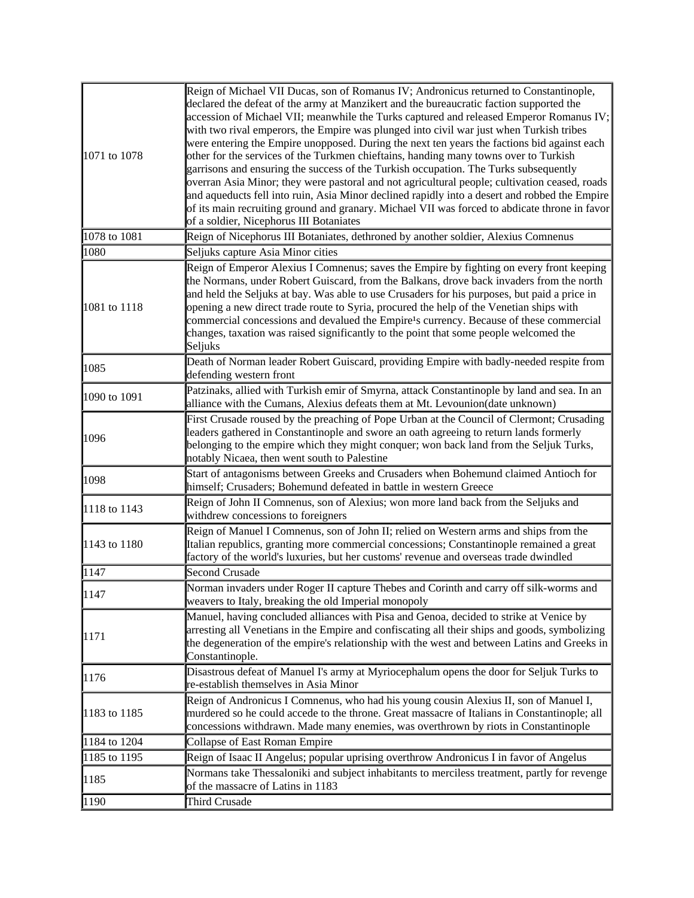| 1071 to 1078 | Reign of Michael VII Ducas, son of Romanus IV; Andronicus returned to Constantinople,<br>declared the defeat of the army at Manzikert and the bureaucratic faction supported the<br>accession of Michael VII; meanwhile the Turks captured and released Emperor Romanus IV;<br>with two rival emperors, the Empire was plunged into civil war just when Turkish tribes<br>were entering the Empire unopposed. During the next ten years the factions bid against each<br>other for the services of the Turkmen chieftains, handing many towns over to Turkish<br>garrisons and ensuring the success of the Turkish occupation. The Turks subsequently<br>overran Asia Minor; they were pastoral and not agricultural people; cultivation ceased, roads<br>and aqueducts fell into ruin, Asia Minor declined rapidly into a desert and robbed the Empire<br>of its main recruiting ground and granary. Michael VII was forced to abdicate throne in favor<br>of a soldier, Nicephorus III Botaniates |
|--------------|-----------------------------------------------------------------------------------------------------------------------------------------------------------------------------------------------------------------------------------------------------------------------------------------------------------------------------------------------------------------------------------------------------------------------------------------------------------------------------------------------------------------------------------------------------------------------------------------------------------------------------------------------------------------------------------------------------------------------------------------------------------------------------------------------------------------------------------------------------------------------------------------------------------------------------------------------------------------------------------------------------|
| 1078 to 1081 | Reign of Nicephorus III Botaniates, dethroned by another soldier, Alexius Comnenus                                                                                                                                                                                                                                                                                                                                                                                                                                                                                                                                                                                                                                                                                                                                                                                                                                                                                                                  |
| 1080         | Seljuks capture Asia Minor cities                                                                                                                                                                                                                                                                                                                                                                                                                                                                                                                                                                                                                                                                                                                                                                                                                                                                                                                                                                   |
| 1081 to 1118 | Reign of Emperor Alexius I Comnenus; saves the Empire by fighting on every front keeping<br>the Normans, under Robert Guiscard, from the Balkans, drove back invaders from the north<br>and held the Seljuks at bay. Was able to use Crusaders for his purposes, but paid a price in<br>opening a new direct trade route to Syria, procured the help of the Venetian ships with<br>commercial concessions and devalued the Empire <sup>1</sup> s currency. Because of these commercial<br>changes, taxation was raised significantly to the point that some people welcomed the<br>Seljuks                                                                                                                                                                                                                                                                                                                                                                                                          |
| 1085         | Death of Norman leader Robert Guiscard, providing Empire with badly-needed respite from<br>defending western front                                                                                                                                                                                                                                                                                                                                                                                                                                                                                                                                                                                                                                                                                                                                                                                                                                                                                  |
| 1090 to 1091 | Patzinaks, allied with Turkish emir of Smyrna, attack Constantinople by land and sea. In an<br>alliance with the Cumans, Alexius defeats them at Mt. Levounion(date unknown)                                                                                                                                                                                                                                                                                                                                                                                                                                                                                                                                                                                                                                                                                                                                                                                                                        |
| 1096         | First Crusade roused by the preaching of Pope Urban at the Council of Clermont; Crusading<br>leaders gathered in Constantinople and swore an oath agreeing to return lands formerly<br>belonging to the empire which they might conquer; won back land from the Seljuk Turks,<br>notably Nicaea, then went south to Palestine                                                                                                                                                                                                                                                                                                                                                                                                                                                                                                                                                                                                                                                                       |
| 1098         | Start of antagonisms between Greeks and Crusaders when Bohemund claimed Antioch for<br>himself; Crusaders; Bohemund defeated in battle in western Greece                                                                                                                                                                                                                                                                                                                                                                                                                                                                                                                                                                                                                                                                                                                                                                                                                                            |
| 1118 to 1143 | Reign of John II Comnenus, son of Alexius; won more land back from the Seljuks and<br>withdrew concessions to foreigners                                                                                                                                                                                                                                                                                                                                                                                                                                                                                                                                                                                                                                                                                                                                                                                                                                                                            |
| 1143 to 1180 | Reign of Manuel I Comnenus, son of John II; relied on Western arms and ships from the<br>Italian republics, granting more commercial concessions; Constantinople remained a great<br>factory of the world's luxuries, but her customs' revenue and overseas trade dwindled                                                                                                                                                                                                                                                                                                                                                                                                                                                                                                                                                                                                                                                                                                                          |
| 1147         | <b>Second Crusade</b>                                                                                                                                                                                                                                                                                                                                                                                                                                                                                                                                                                                                                                                                                                                                                                                                                                                                                                                                                                               |
| 1147         | Norman invaders under Roger II capture Thebes and Corinth and carry off silk-worms and<br>weavers to Italy, breaking the old Imperial monopoly                                                                                                                                                                                                                                                                                                                                                                                                                                                                                                                                                                                                                                                                                                                                                                                                                                                      |
| 1171         | Manuel, having concluded alliances with Pisa and Genoa, decided to strike at Venice by<br>arresting all Venetians in the Empire and confiscating all their ships and goods, symbolizing<br>the degeneration of the empire's relationship with the west and between Latins and Greeks in<br>Constantinople.                                                                                                                                                                                                                                                                                                                                                                                                                                                                                                                                                                                                                                                                                          |
| 1176         | Disastrous defeat of Manuel I's army at Myriocephalum opens the door for Seljuk Turks to<br>re-establish themselves in Asia Minor                                                                                                                                                                                                                                                                                                                                                                                                                                                                                                                                                                                                                                                                                                                                                                                                                                                                   |
| 1183 to 1185 | Reign of Andronicus I Comnenus, who had his young cousin Alexius II, son of Manuel I,<br>murdered so he could accede to the throne. Great massacre of Italians in Constantinople; all<br>concessions withdrawn. Made many enemies, was overthrown by riots in Constantinople                                                                                                                                                                                                                                                                                                                                                                                                                                                                                                                                                                                                                                                                                                                        |
| 1184 to 1204 | Collapse of East Roman Empire                                                                                                                                                                                                                                                                                                                                                                                                                                                                                                                                                                                                                                                                                                                                                                                                                                                                                                                                                                       |
| 1185 to 1195 | Reign of Isaac II Angelus; popular uprising overthrow Andronicus I in favor of Angelus                                                                                                                                                                                                                                                                                                                                                                                                                                                                                                                                                                                                                                                                                                                                                                                                                                                                                                              |
| 1185         | Normans take Thessaloniki and subject inhabitants to merciless treatment, partly for revenge<br>of the massacre of Latins in 1183                                                                                                                                                                                                                                                                                                                                                                                                                                                                                                                                                                                                                                                                                                                                                                                                                                                                   |
| 1190         | Third Crusade                                                                                                                                                                                                                                                                                                                                                                                                                                                                                                                                                                                                                                                                                                                                                                                                                                                                                                                                                                                       |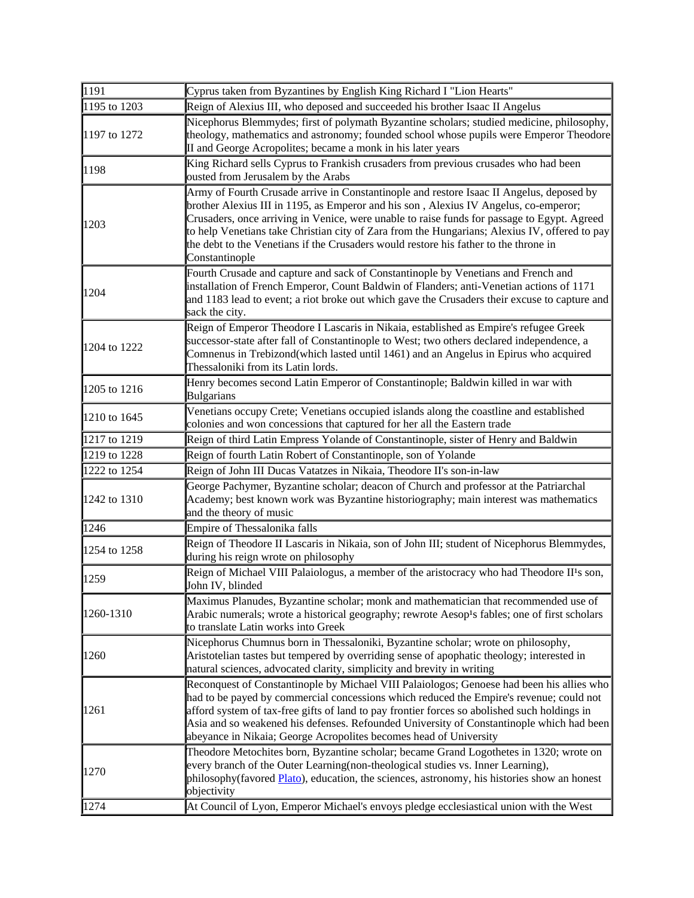| $\sqrt{1191}$ | Cyprus taken from Byzantines by English King Richard I "Lion Hearts"                                                                                                                                                                                                                                                                                                                                                                                                                       |
|---------------|--------------------------------------------------------------------------------------------------------------------------------------------------------------------------------------------------------------------------------------------------------------------------------------------------------------------------------------------------------------------------------------------------------------------------------------------------------------------------------------------|
| 1195 to 1203  | Reign of Alexius III, who deposed and succeeded his brother Isaac II Angelus                                                                                                                                                                                                                                                                                                                                                                                                               |
| 1197 to 1272  | Nicephorus Blemmydes; first of polymath Byzantine scholars; studied medicine, philosophy,<br>theology, mathematics and astronomy; founded school whose pupils were Emperor Theodore<br>II and George Acropolites; became a monk in his later years                                                                                                                                                                                                                                         |
| 1198          | King Richard sells Cyprus to Frankish crusaders from previous crusades who had been<br>ousted from Jerusalem by the Arabs                                                                                                                                                                                                                                                                                                                                                                  |
| 1203          | Army of Fourth Crusade arrive in Constantinople and restore Isaac II Angelus, deposed by<br>brother Alexius III in 1195, as Emperor and his son, Alexius IV Angelus, co-emperor;<br>Crusaders, once arriving in Venice, were unable to raise funds for passage to Egypt. Agreed<br>to help Venetians take Christian city of Zara from the Hungarians; Alexius IV, offered to pay<br>the debt to the Venetians if the Crusaders would restore his father to the throne in<br>Constantinople |
| 1204          | Fourth Crusade and capture and sack of Constantinople by Venetians and French and<br>installation of French Emperor, Count Baldwin of Flanders; anti-Venetian actions of 1171<br>and 1183 lead to event; a riot broke out which gave the Crusaders their excuse to capture and<br>sack the city.                                                                                                                                                                                           |
| 1204 to 1222  | Reign of Emperor Theodore I Lascaris in Nikaia, established as Empire's refugee Greek<br>successor-state after fall of Constantinople to West; two others declared independence, a<br>Comnenus in Trebizond(which lasted until 1461) and an Angelus in Epirus who acquired<br>Thessaloniki from its Latin lords.                                                                                                                                                                           |
| 1205 to 1216  | Henry becomes second Latin Emperor of Constantinople; Baldwin killed in war with<br><b>Bulgarians</b>                                                                                                                                                                                                                                                                                                                                                                                      |
| 1210 to 1645  | Venetians occupy Crete; Venetians occupied islands along the coastline and established<br>colonies and won concessions that captured for her all the Eastern trade                                                                                                                                                                                                                                                                                                                         |
| 1217 to 1219  | Reign of third Latin Empress Yolande of Constantinople, sister of Henry and Baldwin                                                                                                                                                                                                                                                                                                                                                                                                        |
| 1219 to 1228  | Reign of fourth Latin Robert of Constantinople, son of Yolande                                                                                                                                                                                                                                                                                                                                                                                                                             |
| 1222 to 1254  | Reign of John III Ducas Vatatzes in Nikaia, Theodore II's son-in-law                                                                                                                                                                                                                                                                                                                                                                                                                       |
| 1242 to 1310  | George Pachymer, Byzantine scholar; deacon of Church and professor at the Patriarchal<br>Academy; best known work was Byzantine historiography; main interest was mathematics<br>and the theory of music                                                                                                                                                                                                                                                                                   |
| 1246          | Empire of Thessalonika falls                                                                                                                                                                                                                                                                                                                                                                                                                                                               |
| 1254 to 1258  | Reign of Theodore II Lascaris in Nikaia, son of John III; student of Nicephorus Blemmydes,<br>during his reign wrote on philosophy                                                                                                                                                                                                                                                                                                                                                         |
| 1259          | Reign of Michael VIII Palaiologus, a member of the aristocracy who had Theodore II's son,<br>John IV, blinded                                                                                                                                                                                                                                                                                                                                                                              |
| 1260-1310     | Maximus Planudes, Byzantine scholar; monk and mathematician that recommended use of<br>Arabic numerals; wrote a historical geography; rewrote Aesop <sup>1</sup> s fables; one of first scholars<br>to translate Latin works into Greek                                                                                                                                                                                                                                                    |
| 1260          | Nicephorus Chumnus born in Thessaloniki, Byzantine scholar; wrote on philosophy,<br>Aristotelian tastes but tempered by overriding sense of apophatic theology; interested in<br>natural sciences, advocated clarity, simplicity and brevity in writing                                                                                                                                                                                                                                    |
| 1261          | Reconquest of Constantinople by Michael VIII Palaiologos; Genoese had been his allies who<br>had to be payed by commercial concessions which reduced the Empire's revenue; could not<br>afford system of tax-free gifts of land to pay frontier forces so abolished such holdings in<br>Asia and so weakened his defenses. Refounded University of Constantinople which had been<br>abeyance in Nikaia; George Acropolites becomes head of University                                      |
| 1270          | Theodore Metochites born, Byzantine scholar; became Grand Logothetes in 1320; wrote on<br>every branch of the Outer Learning(non-theological studies vs. Inner Learning),<br>philosophy(favored Plato), education, the sciences, astronomy, his histories show an honest<br>objectivity                                                                                                                                                                                                    |
| 1274          | At Council of Lyon, Emperor Michael's envoys pledge ecclesiastical union with the West                                                                                                                                                                                                                                                                                                                                                                                                     |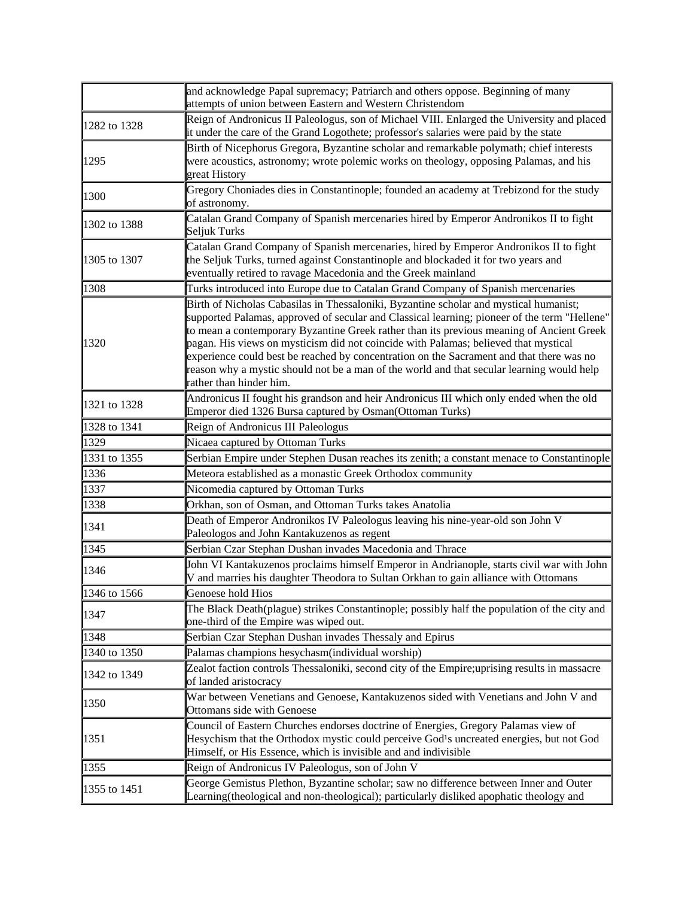|              | and acknowledge Papal supremacy; Patriarch and others oppose. Beginning of many<br>attempts of union between Eastern and Western Christendom                                                                                                                                                                                                                                                                                                                                                                                                                                                 |
|--------------|----------------------------------------------------------------------------------------------------------------------------------------------------------------------------------------------------------------------------------------------------------------------------------------------------------------------------------------------------------------------------------------------------------------------------------------------------------------------------------------------------------------------------------------------------------------------------------------------|
| 1282 to 1328 | Reign of Andronicus II Paleologus, son of Michael VIII. Enlarged the University and placed<br>it under the care of the Grand Logothete; professor's salaries were paid by the state                                                                                                                                                                                                                                                                                                                                                                                                          |
| 1295         | Birth of Nicephorus Gregora, Byzantine scholar and remarkable polymath; chief interests<br>were acoustics, astronomy; wrote polemic works on theology, opposing Palamas, and his<br>great History                                                                                                                                                                                                                                                                                                                                                                                            |
| 1300         | Gregory Choniades dies in Constantinople; founded an academy at Trebizond for the study<br>of astronomy.                                                                                                                                                                                                                                                                                                                                                                                                                                                                                     |
| 1302 to 1388 | Catalan Grand Company of Spanish mercenaries hired by Emperor Andronikos II to fight<br>Seljuk Turks                                                                                                                                                                                                                                                                                                                                                                                                                                                                                         |
| 1305 to 1307 | Catalan Grand Company of Spanish mercenaries, hired by Emperor Andronikos II to fight<br>the Seljuk Turks, turned against Constantinople and blockaded it for two years and<br>eventually retired to ravage Macedonia and the Greek mainland                                                                                                                                                                                                                                                                                                                                                 |
| 1308         | Turks introduced into Europe due to Catalan Grand Company of Spanish mercenaries                                                                                                                                                                                                                                                                                                                                                                                                                                                                                                             |
| 1320         | Birth of Nicholas Cabasilas in Thessaloniki, Byzantine scholar and mystical humanist;<br>supported Palamas, approved of secular and Classical learning; pioneer of the term "Hellene"<br>to mean a contemporary Byzantine Greek rather than its previous meaning of Ancient Greek<br>pagan. His views on mysticism did not coincide with Palamas; believed that mystical<br>experience could best be reached by concentration on the Sacrament and that there was no<br>reason why a mystic should not be a man of the world and that secular learning would help<br>rather than hinder him. |
| 1321 to 1328 | Andronicus II fought his grandson and heir Andronicus III which only ended when the old<br>Emperor died 1326 Bursa captured by Osman(Ottoman Turks)                                                                                                                                                                                                                                                                                                                                                                                                                                          |
| 1328 to 1341 | Reign of Andronicus III Paleologus                                                                                                                                                                                                                                                                                                                                                                                                                                                                                                                                                           |
| 1329         | Nicaea captured by Ottoman Turks                                                                                                                                                                                                                                                                                                                                                                                                                                                                                                                                                             |
| 1331 to 1355 | Serbian Empire under Stephen Dusan reaches its zenith; a constant menace to Constantinople                                                                                                                                                                                                                                                                                                                                                                                                                                                                                                   |
| 1336         | Meteora established as a monastic Greek Orthodox community                                                                                                                                                                                                                                                                                                                                                                                                                                                                                                                                   |
| 1337         | Nicomedia captured by Ottoman Turks                                                                                                                                                                                                                                                                                                                                                                                                                                                                                                                                                          |
| 1338         | Orkhan, son of Osman, and Ottoman Turks takes Anatolia                                                                                                                                                                                                                                                                                                                                                                                                                                                                                                                                       |
| 1341         | Death of Emperor Andronikos IV Paleologus leaving his nine-year-old son John V<br>Paleologos and John Kantakuzenos as regent                                                                                                                                                                                                                                                                                                                                                                                                                                                                 |
| 1345         | Serbian Czar Stephan Dushan invades Macedonia and Thrace                                                                                                                                                                                                                                                                                                                                                                                                                                                                                                                                     |
| 1346         | John VI Kantakuzenos proclaims himself Emperor in Andrianople, starts civil war with John<br>V and marries his daughter Theodora to Sultan Orkhan to gain alliance with Ottomans                                                                                                                                                                                                                                                                                                                                                                                                             |
| 1346 to 1566 | Genoese hold Hios                                                                                                                                                                                                                                                                                                                                                                                                                                                                                                                                                                            |
| 1347         | The Black Death(plague) strikes Constantinople; possibly half the population of the city and<br>one-third of the Empire was wiped out.                                                                                                                                                                                                                                                                                                                                                                                                                                                       |
| 1348         | Serbian Czar Stephan Dushan invades Thessaly and Epirus                                                                                                                                                                                                                                                                                                                                                                                                                                                                                                                                      |
| 1340 to 1350 | Palamas champions hesychasm(individual worship)                                                                                                                                                                                                                                                                                                                                                                                                                                                                                                                                              |
| 1342 to 1349 | Zealot faction controls Thessaloniki, second city of the Empire; uprising results in massacre<br>of landed aristocracy                                                                                                                                                                                                                                                                                                                                                                                                                                                                       |
| 1350         | War between Venetians and Genoese, Kantakuzenos sided with Venetians and John V and<br>Ottomans side with Genoese                                                                                                                                                                                                                                                                                                                                                                                                                                                                            |
| 1351         | Council of Eastern Churches endorses doctrine of Energies, Gregory Palamas view of<br>Hesychism that the Orthodox mystic could perceive God <sup>1</sup> s uncreated energies, but not God<br>Himself, or His Essence, which is invisible and and indivisible                                                                                                                                                                                                                                                                                                                                |
| 1355         | Reign of Andronicus IV Paleologus, son of John V                                                                                                                                                                                                                                                                                                                                                                                                                                                                                                                                             |
| 1355 to 1451 | George Gemistus Plethon, Byzantine scholar; saw no difference between Inner and Outer<br>Learning (theological and non-theological); particularly disliked apophatic theology and                                                                                                                                                                                                                                                                                                                                                                                                            |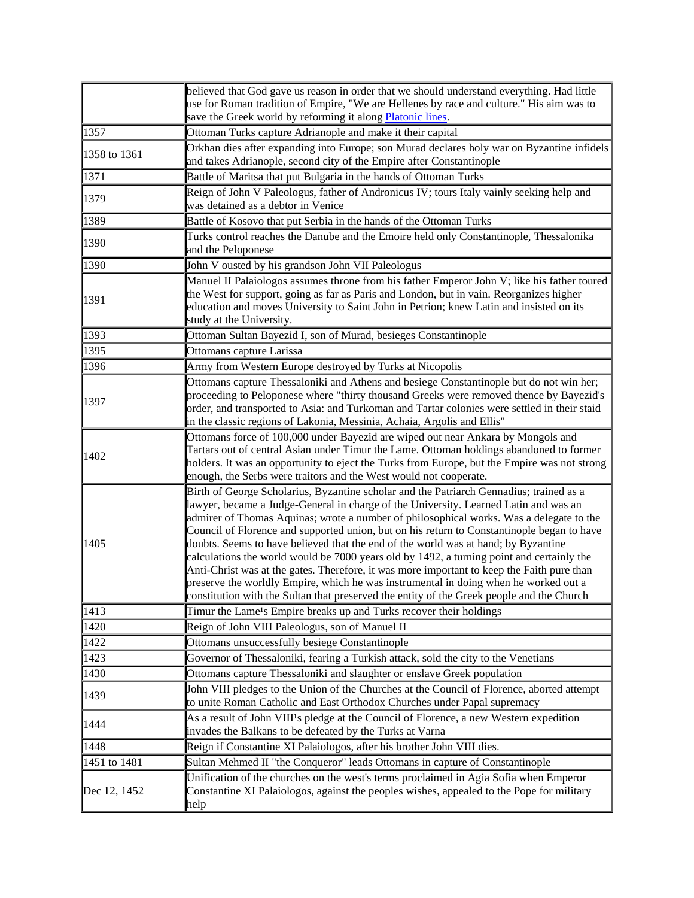|              | believed that God gave us reason in order that we should understand everything. Had little<br>use for Roman tradition of Empire, "We are Hellenes by race and culture." His aim was to<br>save the Greek world by reforming it along Platonic lines.                                                                                                                                                                                                                                                                                                                                                                                                                                                                                                                                                                                           |
|--------------|------------------------------------------------------------------------------------------------------------------------------------------------------------------------------------------------------------------------------------------------------------------------------------------------------------------------------------------------------------------------------------------------------------------------------------------------------------------------------------------------------------------------------------------------------------------------------------------------------------------------------------------------------------------------------------------------------------------------------------------------------------------------------------------------------------------------------------------------|
| 1357         | Ottoman Turks capture Adrianople and make it their capital                                                                                                                                                                                                                                                                                                                                                                                                                                                                                                                                                                                                                                                                                                                                                                                     |
| 1358 to 1361 | Orkhan dies after expanding into Europe; son Murad declares holy war on Byzantine infidels<br>and takes Adrianople, second city of the Empire after Constantinople                                                                                                                                                                                                                                                                                                                                                                                                                                                                                                                                                                                                                                                                             |
| 1371         | Battle of Maritsa that put Bulgaria in the hands of Ottoman Turks                                                                                                                                                                                                                                                                                                                                                                                                                                                                                                                                                                                                                                                                                                                                                                              |
| 1379         | Reign of John V Paleologus, father of Andronicus IV; tours Italy vainly seeking help and<br>was detained as a debtor in Venice                                                                                                                                                                                                                                                                                                                                                                                                                                                                                                                                                                                                                                                                                                                 |
| 1389         | Battle of Kosovo that put Serbia in the hands of the Ottoman Turks                                                                                                                                                                                                                                                                                                                                                                                                                                                                                                                                                                                                                                                                                                                                                                             |
| 1390         | Turks control reaches the Danube and the Emoire held only Constantinople, Thessalonika<br>and the Peloponese                                                                                                                                                                                                                                                                                                                                                                                                                                                                                                                                                                                                                                                                                                                                   |
| 1390         | John V ousted by his grandson John VII Paleologus                                                                                                                                                                                                                                                                                                                                                                                                                                                                                                                                                                                                                                                                                                                                                                                              |
| 1391         | Manuel II Palaiologos assumes throne from his father Emperor John V; like his father toured<br>the West for support, going as far as Paris and London, but in vain. Reorganizes higher<br>education and moves University to Saint John in Petrion; knew Latin and insisted on its<br>study at the University.                                                                                                                                                                                                                                                                                                                                                                                                                                                                                                                                  |
| 1393         | Ottoman Sultan Bayezid I, son of Murad, besieges Constantinople                                                                                                                                                                                                                                                                                                                                                                                                                                                                                                                                                                                                                                                                                                                                                                                |
| 1395         | Ottomans capture Larissa                                                                                                                                                                                                                                                                                                                                                                                                                                                                                                                                                                                                                                                                                                                                                                                                                       |
| 1396         | Army from Western Europe destroyed by Turks at Nicopolis                                                                                                                                                                                                                                                                                                                                                                                                                                                                                                                                                                                                                                                                                                                                                                                       |
| 1397         | Ottomans capture Thessaloniki and Athens and besiege Constantinople but do not win her;<br>proceeding to Peloponese where "thirty thousand Greeks were removed thence by Bayezid's<br>order, and transported to Asia: and Turkoman and Tartar colonies were settled in their staid<br>in the classic regions of Lakonia, Messinia, Achaia, Argolis and Ellis"                                                                                                                                                                                                                                                                                                                                                                                                                                                                                  |
| 1402         | Ottomans force of 100,000 under Bayezid are wiped out near Ankara by Mongols and<br>Tartars out of central Asian under Timur the Lame. Ottoman holdings abandoned to former<br>holders. It was an opportunity to eject the Turks from Europe, but the Empire was not strong<br>enough, the Serbs were traitors and the West would not cooperate.                                                                                                                                                                                                                                                                                                                                                                                                                                                                                               |
| 1405         | Birth of George Scholarius, Byzantine scholar and the Patriarch Gennadius; trained as a<br>lawyer, became a Judge-General in charge of the University. Learned Latin and was an<br>admirer of Thomas Aquinas; wrote a number of philosophical works. Was a delegate to the<br>Council of Florence and supported union, but on his return to Constantinople began to have<br>doubts. Seems to have believed that the end of the world was at hand; by Byzantine<br>calculations the world would be 7000 years old by 1492, a turning point and certainly the<br>Anti-Christ was at the gates. Therefore, it was more important to keep the Faith pure than<br>preserve the worldly Empire, which he was instrumental in doing when he worked out a<br>constitution with the Sultan that preserved the entity of the Greek people and the Church |
| 1413         | Timur the Lame <sup>1</sup> s Empire breaks up and Turks recover their holdings                                                                                                                                                                                                                                                                                                                                                                                                                                                                                                                                                                                                                                                                                                                                                                |
| 1420         | Reign of John VIII Paleologus, son of Manuel II                                                                                                                                                                                                                                                                                                                                                                                                                                                                                                                                                                                                                                                                                                                                                                                                |
| 1422         | Ottomans unsuccessfully besiege Constantinople                                                                                                                                                                                                                                                                                                                                                                                                                                                                                                                                                                                                                                                                                                                                                                                                 |
| 1423         | Governor of Thessaloniki, fearing a Turkish attack, sold the city to the Venetians                                                                                                                                                                                                                                                                                                                                                                                                                                                                                                                                                                                                                                                                                                                                                             |
| 1430         | Ottomans capture Thessaloniki and slaughter or enslave Greek population                                                                                                                                                                                                                                                                                                                                                                                                                                                                                                                                                                                                                                                                                                                                                                        |
| 1439         | John VIII pledges to the Union of the Churches at the Council of Florence, aborted attempt<br>to unite Roman Catholic and East Orthodox Churches under Papal supremacy                                                                                                                                                                                                                                                                                                                                                                                                                                                                                                                                                                                                                                                                         |
| 1444         | As a result of John VIII <sup>1</sup> s pledge at the Council of Florence, a new Western expedition<br>invades the Balkans to be defeated by the Turks at Varna                                                                                                                                                                                                                                                                                                                                                                                                                                                                                                                                                                                                                                                                                |
| 1448         | Reign if Constantine XI Palaiologos, after his brother John VIII dies.                                                                                                                                                                                                                                                                                                                                                                                                                                                                                                                                                                                                                                                                                                                                                                         |
| 1451 to 1481 | Sultan Mehmed II "the Conqueror" leads Ottomans in capture of Constantinople                                                                                                                                                                                                                                                                                                                                                                                                                                                                                                                                                                                                                                                                                                                                                                   |
| Dec 12, 1452 | Unification of the churches on the west's terms proclaimed in Agia Sofia when Emperor<br>Constantine XI Palaiologos, against the peoples wishes, appealed to the Pope for military<br>help                                                                                                                                                                                                                                                                                                                                                                                                                                                                                                                                                                                                                                                     |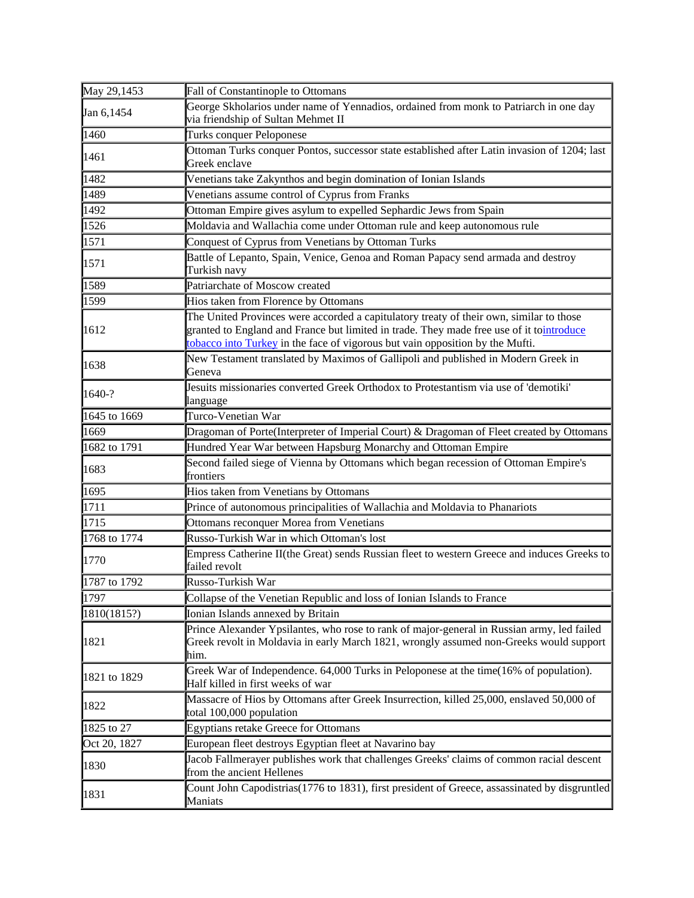| May 29,1453  | Fall of Constantinople to Ottomans                                                                                                                                                                                                                                   |
|--------------|----------------------------------------------------------------------------------------------------------------------------------------------------------------------------------------------------------------------------------------------------------------------|
| Jan 6,1454   | George Skholarios under name of Yennadios, ordained from monk to Patriarch in one day<br>via friendship of Sultan Mehmet II                                                                                                                                          |
| 1460         | Turks conquer Peloponese                                                                                                                                                                                                                                             |
| 1461         | Ottoman Turks conquer Pontos, successor state established after Latin invasion of 1204; last<br>Greek enclave                                                                                                                                                        |
| 1482         | Venetians take Zakynthos and begin domination of Ionian Islands                                                                                                                                                                                                      |
| 1489         | Venetians assume control of Cyprus from Franks                                                                                                                                                                                                                       |
| 1492         | Ottoman Empire gives asylum to expelled Sephardic Jews from Spain                                                                                                                                                                                                    |
| 1526         | Moldavia and Wallachia come under Ottoman rule and keep autonomous rule                                                                                                                                                                                              |
| 1571         | Conquest of Cyprus from Venetians by Ottoman Turks                                                                                                                                                                                                                   |
| 1571         | Battle of Lepanto, Spain, Venice, Genoa and Roman Papacy send armada and destroy<br>Turkish navy                                                                                                                                                                     |
| 1589         | Patriarchate of Moscow created                                                                                                                                                                                                                                       |
| 1599         | Hios taken from Florence by Ottomans                                                                                                                                                                                                                                 |
| 1612         | The United Provinces were accorded a capitulatory treaty of their own, similar to those<br>granted to England and France but limited in trade. They made free use of it tointroduce<br>tobacco into Turkey in the face of vigorous but vain opposition by the Mufti. |
| 1638         | New Testament translated by Maximos of Gallipoli and published in Modern Greek in<br>Geneva                                                                                                                                                                          |
| 1640-?       | Jesuits missionaries converted Greek Orthodox to Protestantism via use of 'demotiki'<br>language                                                                                                                                                                     |
| 1645 to 1669 | Turco-Venetian War                                                                                                                                                                                                                                                   |
| 1669         | Dragoman of Porte(Interpreter of Imperial Court) & Dragoman of Fleet created by Ottomans                                                                                                                                                                             |
| 1682 to 1791 | Hundred Year War between Hapsburg Monarchy and Ottoman Empire                                                                                                                                                                                                        |
| 1683         | Second failed siege of Vienna by Ottomans which began recession of Ottoman Empire's<br>frontiers                                                                                                                                                                     |
| 1695         | Hios taken from Venetians by Ottomans                                                                                                                                                                                                                                |
| 1711         | Prince of autonomous principalities of Wallachia and Moldavia to Phanariots                                                                                                                                                                                          |
| 1715         | Ottomans reconquer Morea from Venetians                                                                                                                                                                                                                              |
| 1768 to 1774 | Russo-Turkish War in which Ottoman's lost                                                                                                                                                                                                                            |
| 1770         | Empress Catherine II(the Great) sends Russian fleet to western Greece and induces Greeks to<br>failed revolt                                                                                                                                                         |
| 1787 to 1792 | Russo-Turkish War                                                                                                                                                                                                                                                    |
| 1797         | Collapse of the Venetian Republic and loss of Ionian Islands to France                                                                                                                                                                                               |
| 1810(1815?)  | Ionian Islands annexed by Britain                                                                                                                                                                                                                                    |
| 1821         | Prince Alexander Ypsilantes, who rose to rank of major-general in Russian army, led failed<br>Greek revolt in Moldavia in early March 1821, wrongly assumed non-Greeks would support<br>him.                                                                         |
| 1821 to 1829 | Greek War of Independence. 64,000 Turks in Peloponese at the time(16% of population).<br>Half killed in first weeks of war                                                                                                                                           |
| 1822         | Massacre of Hios by Ottomans after Greek Insurrection, killed 25,000, enslaved 50,000 of<br>total 100,000 population                                                                                                                                                 |
| 1825 to 27   | <b>Egyptians retake Greece for Ottomans</b>                                                                                                                                                                                                                          |
| Oct 20, 1827 | European fleet destroys Egyptian fleet at Navarino bay                                                                                                                                                                                                               |
| 1830         | Jacob Fallmerayer publishes work that challenges Greeks' claims of common racial descent<br>from the ancient Hellenes                                                                                                                                                |
| 1831         | Count John Capodistrias (1776 to 1831), first president of Greece, assassinated by disgruntled<br>Maniats                                                                                                                                                            |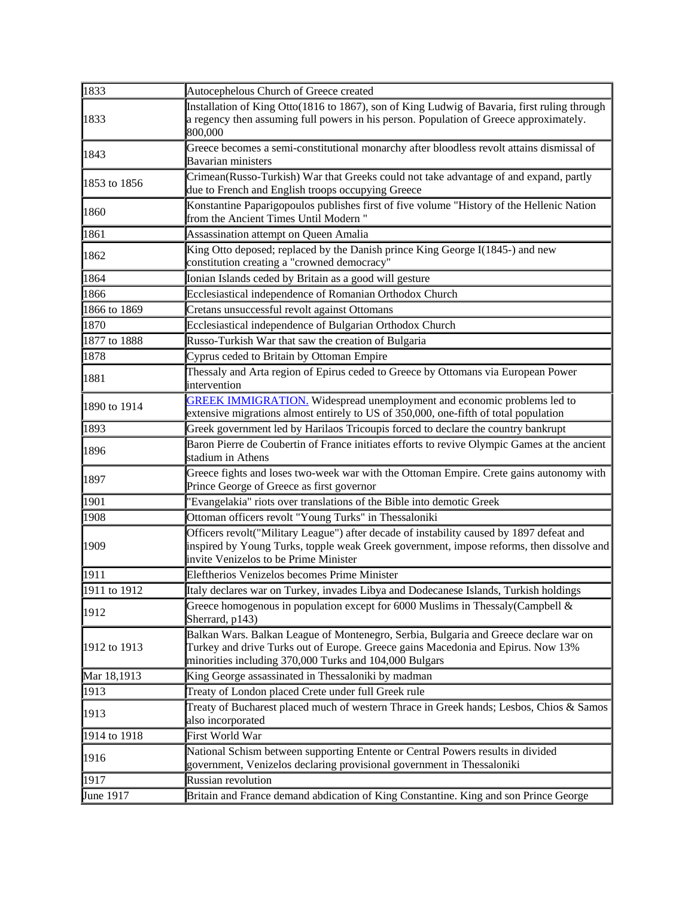| 1833         | Autocephelous Church of Greece created                                                                                                                                                                                             |
|--------------|------------------------------------------------------------------------------------------------------------------------------------------------------------------------------------------------------------------------------------|
| 1833         | Installation of King Otto(1816 to 1867), son of King Ludwig of Bavaria, first ruling through<br>a regency then assuming full powers in his person. Population of Greece approximately.<br>800,000                                  |
| 1843         | Greece becomes a semi-constitutional monarchy after bloodless revolt attains dismissal of<br><b>Bavarian ministers</b>                                                                                                             |
| 1853 to 1856 | Crimean(Russo-Turkish) War that Greeks could not take advantage of and expand, partly<br>due to French and English troops occupying Greece                                                                                         |
| 1860         | Konstantine Paparigopoulos publishes first of five volume "History of the Hellenic Nation<br>from the Ancient Times Until Modern "                                                                                                 |
| 1861         | Assassination attempt on Queen Amalia                                                                                                                                                                                              |
| 1862         | King Otto deposed; replaced by the Danish prince King George I(1845-) and new<br>constitution creating a "crowned democracy"                                                                                                       |
| 1864         | Ionian Islands ceded by Britain as a good will gesture                                                                                                                                                                             |
| 1866         | Ecclesiastical independence of Romanian Orthodox Church                                                                                                                                                                            |
| 1866 to 1869 | Cretans unsuccessful revolt against Ottomans                                                                                                                                                                                       |
| 1870         | Ecclesiastical independence of Bulgarian Orthodox Church                                                                                                                                                                           |
| 1877 to 1888 | Russo-Turkish War that saw the creation of Bulgaria                                                                                                                                                                                |
| 1878         | Cyprus ceded to Britain by Ottoman Empire                                                                                                                                                                                          |
| 1881         | Thessaly and Arta region of Epirus ceded to Greece by Ottomans via European Power<br>intervention                                                                                                                                  |
| 1890 to 1914 | <b>GREEK IMMIGRATION.</b> Widespread unemployment and economic problems led to<br>extensive migrations almost entirely to US of 350,000, one-fifth of total population                                                             |
| 1893         | Greek government led by Harilaos Tricoupis forced to declare the country bankrupt                                                                                                                                                  |
| 1896         | Baron Pierre de Coubertin of France initiates efforts to revive Olympic Games at the ancient<br>stadium in Athens                                                                                                                  |
| 1897         | Greece fights and loses two-week war with the Ottoman Empire. Crete gains autonomy with<br>Prince George of Greece as first governor                                                                                               |
| 1901         | "Evangelakia" riots over translations of the Bible into demotic Greek                                                                                                                                                              |
| 1908         | Ottoman officers revolt "Young Turks" in Thessaloniki                                                                                                                                                                              |
| 1909         | Officers revolt("Military League") after decade of instability caused by 1897 defeat and<br>inspired by Young Turks, topple weak Greek government, impose reforms, then dissolve and<br>invite Venizelos to be Prime Minister      |
| 1911         | Eleftherios Venizelos becomes Prime Minister                                                                                                                                                                                       |
| 1911 to 1912 | Italy declares war on Turkey, invades Libya and Dodecanese Islands, Turkish holdings                                                                                                                                               |
| 1912         | Greece homogenous in population except for 6000 Muslims in Thessaly(Campbell $\&$<br>Sherrard, p143)                                                                                                                               |
| 1912 to 1913 | Balkan Wars. Balkan League of Montenegro, Serbia, Bulgaria and Greece declare war on<br>Turkey and drive Turks out of Europe. Greece gains Macedonia and Epirus. Now 13%<br>minorities including 370,000 Turks and 104,000 Bulgars |
| Mar 18,1913  | King George assassinated in Thessaloniki by madman                                                                                                                                                                                 |
| 1913         | Treaty of London placed Crete under full Greek rule                                                                                                                                                                                |
| 1913         | Treaty of Bucharest placed much of western Thrace in Greek hands; Lesbos, Chios & Samos<br>also incorporated                                                                                                                       |
| 1914 to 1918 | First World War                                                                                                                                                                                                                    |
| 1916         | National Schism between supporting Entente or Central Powers results in divided<br>government, Venizelos declaring provisional government in Thessaloniki                                                                          |
| 1917         | Russian revolution                                                                                                                                                                                                                 |
| June 1917    | Britain and France demand abdication of King Constantine. King and son Prince George                                                                                                                                               |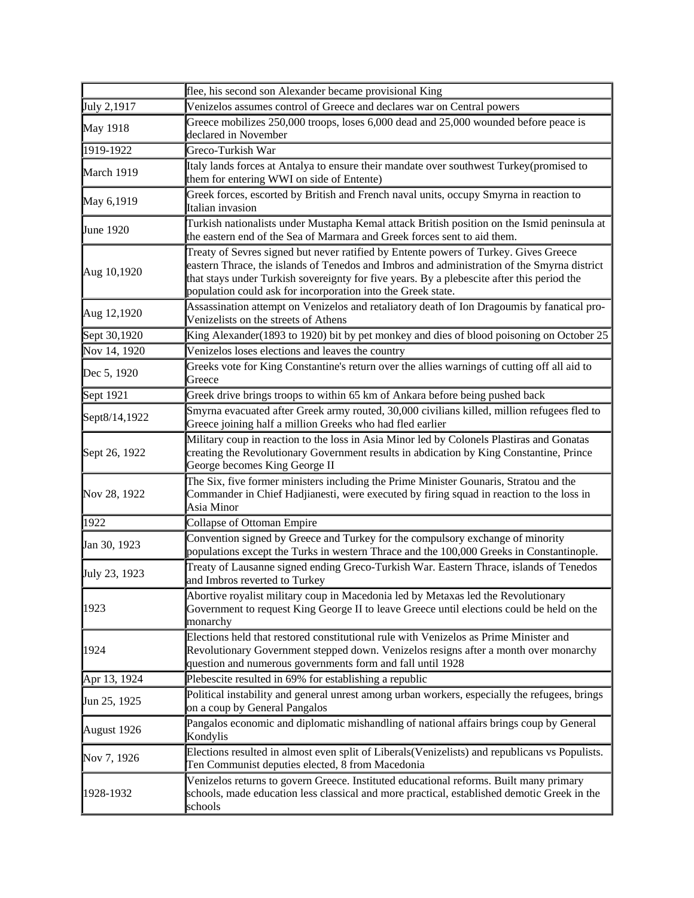|               | flee, his second son Alexander became provisional King                                                                                                                                                                                                                                                                                            |
|---------------|---------------------------------------------------------------------------------------------------------------------------------------------------------------------------------------------------------------------------------------------------------------------------------------------------------------------------------------------------|
| July 2,1917   | Venizelos assumes control of Greece and declares war on Central powers                                                                                                                                                                                                                                                                            |
| May 1918      | Greece mobilizes 250,000 troops, loses 6,000 dead and 25,000 wounded before peace is<br>declared in November                                                                                                                                                                                                                                      |
| 1919-1922     | Greco-Turkish War                                                                                                                                                                                                                                                                                                                                 |
| March 1919    | Italy lands forces at Antalya to ensure their mandate over southwest Turkey(promised to<br>them for entering WWI on side of Entente)                                                                                                                                                                                                              |
| May 6,1919    | Greek forces, escorted by British and French naval units, occupy Smyrna in reaction to<br>Italian invasion                                                                                                                                                                                                                                        |
| June 1920     | Turkish nationalists under Mustapha Kemal attack British position on the Ismid peninsula at<br>the eastern end of the Sea of Marmara and Greek forces sent to aid them.                                                                                                                                                                           |
| Aug 10,1920   | Treaty of Sevres signed but never ratified by Entente powers of Turkey. Gives Greece<br>eastern Thrace, the islands of Tenedos and Imbros and administration of the Smyrna district<br>that stays under Turkish sovereignty for five years. By a plebescite after this period the<br>population could ask for incorporation into the Greek state. |
| Aug 12,1920   | Assassination attempt on Venizelos and retaliatory death of Ion Dragoumis by fanatical pro-<br>Venizelists on the streets of Athens                                                                                                                                                                                                               |
| Sept 30,1920  | King Alexander(1893 to 1920) bit by pet monkey and dies of blood poisoning on October 25                                                                                                                                                                                                                                                          |
| Nov 14, 1920  | Venizelos loses elections and leaves the country                                                                                                                                                                                                                                                                                                  |
| Dec 5, 1920   | Greeks vote for King Constantine's return over the allies warnings of cutting off all aid to<br>Greece                                                                                                                                                                                                                                            |
| Sept 1921     | Greek drive brings troops to within 65 km of Ankara before being pushed back                                                                                                                                                                                                                                                                      |
| Sept8/14,1922 | Smyrna evacuated after Greek army routed, 30,000 civilians killed, million refugees fled to<br>Greece joining half a million Greeks who had fled earlier                                                                                                                                                                                          |
| Sept 26, 1922 | Military coup in reaction to the loss in Asia Minor led by Colonels Plastiras and Gonatas<br>creating the Revolutionary Government results in abdication by King Constantine, Prince<br>George becomes King George II                                                                                                                             |
| Nov 28, 1922  | The Six, five former ministers including the Prime Minister Gounaris, Stratou and the<br>Commander in Chief Hadjianesti, were executed by firing squad in reaction to the loss in<br>Asia Minor                                                                                                                                                   |
| 1922          | Collapse of Ottoman Empire                                                                                                                                                                                                                                                                                                                        |
| Jan 30, 1923  | Convention signed by Greece and Turkey for the compulsory exchange of minority<br>populations except the Turks in western Thrace and the 100,000 Greeks in Constantinople.                                                                                                                                                                        |
| July 23, 1923 | Treaty of Lausanne signed ending Greco-Turkish War. Eastern Thrace, islands of Tenedos<br>and Imbros reverted to Turkey                                                                                                                                                                                                                           |
| 1923          | Abortive royalist military coup in Macedonia led by Metaxas led the Revolutionary<br>Government to request King George II to leave Greece until elections could be held on the<br>monarchy                                                                                                                                                        |
| 1924          | Elections held that restored constitutional rule with Venizelos as Prime Minister and<br>Revolutionary Government stepped down. Venizelos resigns after a month over monarchy<br>question and numerous governments form and fall until 1928                                                                                                       |
| Apr 13, 1924  | Plebescite resulted in 69% for establishing a republic                                                                                                                                                                                                                                                                                            |
| Jun 25, 1925  | Political instability and general unrest among urban workers, especially the refugees, brings<br>on a coup by General Pangalos                                                                                                                                                                                                                    |
| August 1926   | Pangalos economic and diplomatic mishandling of national affairs brings coup by General<br>Kondylis                                                                                                                                                                                                                                               |
| Nov 7, 1926   | Elections resulted in almost even split of Liberals (Venizelists) and republicans vs Populists.<br>Ten Communist deputies elected, 8 from Macedonia                                                                                                                                                                                               |
| 1928-1932     | Venizelos returns to govern Greece. Instituted educational reforms. Built many primary<br>schools, made education less classical and more practical, established demotic Greek in the<br>schools                                                                                                                                                  |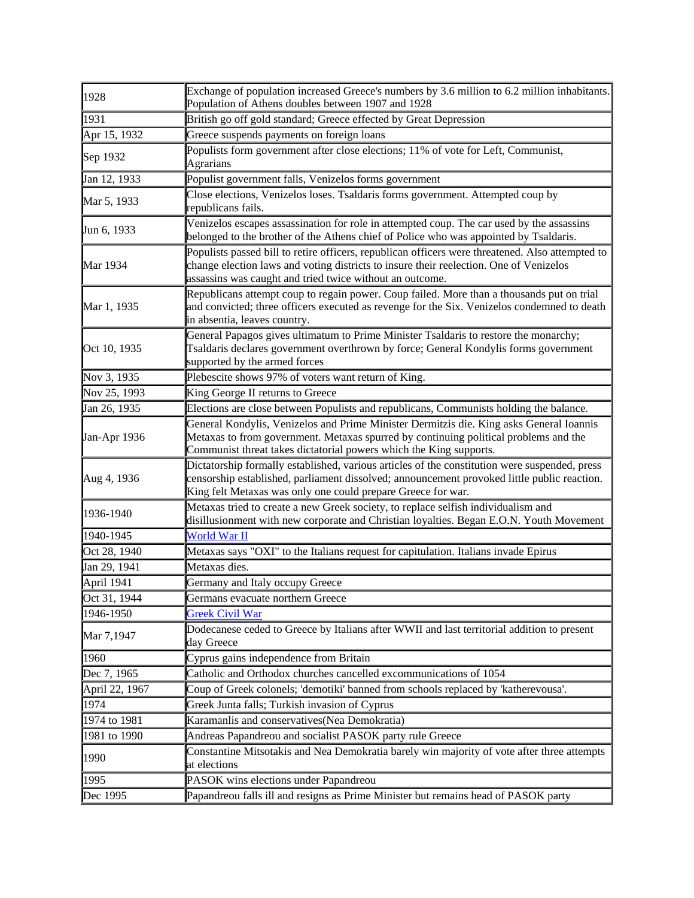| 1928           | Exchange of population increased Greece's numbers by 3.6 million to 6.2 million inhabitants.<br>Population of Athens doubles between 1907 and 1928                                                                                                           |
|----------------|--------------------------------------------------------------------------------------------------------------------------------------------------------------------------------------------------------------------------------------------------------------|
| 1931           | British go off gold standard; Greece effected by Great Depression                                                                                                                                                                                            |
| Apr 15, 1932   | Greece suspends payments on foreign loans                                                                                                                                                                                                                    |
| Sep 1932       | Populists form government after close elections; 11% of vote for Left, Communist,<br><b>Agrarians</b>                                                                                                                                                        |
| Jan 12, 1933   | Populist government falls, Venizelos forms government                                                                                                                                                                                                        |
| Mar 5, 1933    | Close elections, Venizelos loses. Tsaldaris forms government. Attempted coup by<br>republicans fails.                                                                                                                                                        |
| Jun 6, 1933    | Venizelos escapes assassination for role in attempted coup. The car used by the assassins<br>belonged to the brother of the Athens chief of Police who was appointed by Tsaldaris.                                                                           |
| Mar 1934       | Populists passed bill to retire officers, republican officers were threatened. Also attempted to<br>change election laws and voting districts to insure their reelection. One of Venizelos<br>assassins was caught and tried twice without an outcome.       |
| Mar 1, 1935    | Republicans attempt coup to regain power. Coup failed. More than a thousands put on trial<br>and convicted; three officers executed as revenge for the Six. Venizelos condemned to death<br>in absentia, leaves country.                                     |
| Oct 10, 1935   | General Papagos gives ultimatum to Prime Minister Tsaldaris to restore the monarchy;<br>Tsaldaris declares government overthrown by force; General Kondylis forms government<br>supported by the armed forces                                                |
| Nov 3, 1935    | Plebescite shows 97% of voters want return of King.                                                                                                                                                                                                          |
| Nov 25, 1993   | King George II returns to Greece                                                                                                                                                                                                                             |
| Jan 26, 1935   | Elections are close between Populists and republicans, Communists holding the balance.                                                                                                                                                                       |
| Jan-Apr 1936   | General Kondylis, Venizelos and Prime Minister Dermitzis die. King asks General Ioannis<br>Metaxas to from government. Metaxas spurred by continuing political problems and the<br>Communist threat takes dictatorial powers which the King supports.        |
| Aug 4, 1936    | Dictatorship formally established, various articles of the constitution were suspended, press<br>censorship established, parliament dissolved; announcement provoked little public reaction.<br>King felt Metaxas was only one could prepare Greece for war. |
| 1936-1940      | Metaxas tried to create a new Greek society, to replace selfish individualism and<br>disillusionment with new corporate and Christian loyalties. Began E.O.N. Youth Movement                                                                                 |
| 1940-1945      | World War II                                                                                                                                                                                                                                                 |
| Oct 28, 1940   | Metaxas says "OXI" to the Italians request for capitulation. Italians invade Epirus                                                                                                                                                                          |
| Jan 29, 1941   | Metaxas dies.                                                                                                                                                                                                                                                |
| April 1941     | Germany and Italy occupy Greece                                                                                                                                                                                                                              |
| Oct 31, 1944   | Germans evacuate northern Greece                                                                                                                                                                                                                             |
| 1946-1950      | <b>Greek Civil War</b>                                                                                                                                                                                                                                       |
| Mar 7,1947     | Dodecanese ceded to Greece by Italians after WWII and last territorial addition to present<br>day Greece                                                                                                                                                     |
| 1960           | Cyprus gains independence from Britain                                                                                                                                                                                                                       |
| Dec 7, 1965    | Catholic and Orthodox churches cancelled excommunications of 1054                                                                                                                                                                                            |
| April 22, 1967 | Coup of Greek colonels; 'demotiki' banned from schools replaced by 'katherevousa'.                                                                                                                                                                           |
| 1974           | Greek Junta falls; Turkish invasion of Cyprus                                                                                                                                                                                                                |
| 1974 to 1981   | Karamanlis and conservatives (Nea Demokratia)                                                                                                                                                                                                                |
| 1981 to 1990   | Andreas Papandreou and socialist PASOK party rule Greece                                                                                                                                                                                                     |
| 1990           | Constantine Mitsotakis and Nea Demokratia barely win majority of vote after three attempts<br>at elections                                                                                                                                                   |
| 1995           | PASOK wins elections under Papandreou                                                                                                                                                                                                                        |
| Dec 1995       | Papandreou falls ill and resigns as Prime Minister but remains head of PASOK party                                                                                                                                                                           |